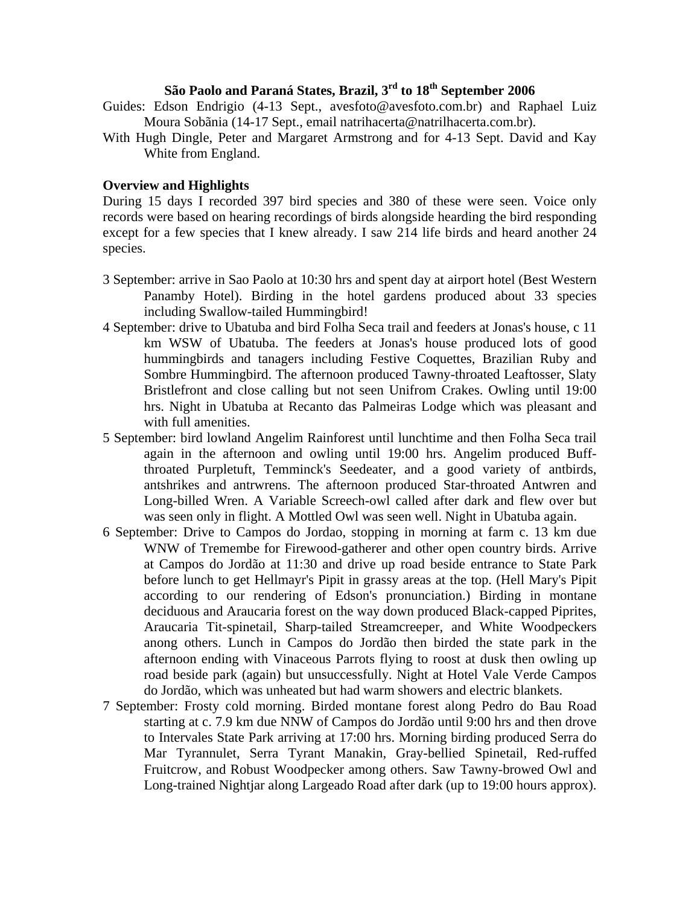# **São Paolo and Paraná States, Brazil, 3rd to 18th September 2006**

- Guides: Edson Endrigio (4-13 Sept., avesfoto@avesfoto.com.br) and Raphael Luiz Moura Sobãnia (14-17 Sept., email natrihacerta@natrilhacerta.com.br).
- With Hugh Dingle, Peter and Margaret Armstrong and for 4-13 Sept. David and Kay White from England.

## **Overview and Highlights**

During 15 days I recorded 397 bird species and 380 of these were seen. Voice only records were based on hearing recordings of birds alongside hearding the bird responding except for a few species that I knew already. I saw 214 life birds and heard another 24 species.

- 3 September: arrive in Sao Paolo at 10:30 hrs and spent day at airport hotel (Best Western Panamby Hotel). Birding in the hotel gardens produced about 33 species including Swallow-tailed Hummingbird!
- 4 September: drive to Ubatuba and bird Folha Seca trail and feeders at Jonas's house, c 11 km WSW of Ubatuba. The feeders at Jonas's house produced lots of good hummingbirds and tanagers including Festive Coquettes, Brazilian Ruby and Sombre Hummingbird. The afternoon produced Tawny-throated Leaftosser, Slaty Bristlefront and close calling but not seen Unifrom Crakes. Owling until 19:00 hrs. Night in Ubatuba at Recanto das Palmeiras Lodge which was pleasant and with full amenities.
- 5 September: bird lowland Angelim Rainforest until lunchtime and then Folha Seca trail again in the afternoon and owling until 19:00 hrs. Angelim produced Buffthroated Purpletuft, Temminck's Seedeater, and a good variety of antbirds, antshrikes and antrwrens. The afternoon produced Star-throated Antwren and Long-billed Wren. A Variable Screech-owl called after dark and flew over but was seen only in flight. A Mottled Owl was seen well. Night in Ubatuba again.
- 6 September: Drive to Campos do Jordao, stopping in morning at farm c. 13 km due WNW of Tremembe for Firewood-gatherer and other open country birds. Arrive at Campos do Jordão at 11:30 and drive up road beside entrance to State Park before lunch to get Hellmayr's Pipit in grassy areas at the top. (Hell Mary's Pipit according to our rendering of Edson's pronunciation.) Birding in montane deciduous and Araucaria forest on the way down produced Black-capped Piprites, Araucaria Tit-spinetail, Sharp-tailed Streamcreeper, and White Woodpeckers anong others. Lunch in Campos do Jordão then birded the state park in the afternoon ending with Vinaceous Parrots flying to roost at dusk then owling up road beside park (again) but unsuccessfully. Night at Hotel Vale Verde Campos do Jordão, which was unheated but had warm showers and electric blankets.
- 7 September: Frosty cold morning. Birded montane forest along Pedro do Bau Road starting at c. 7.9 km due NNW of Campos do Jordão until 9:00 hrs and then drove to Intervales State Park arriving at 17:00 hrs. Morning birding produced Serra do Mar Tyrannulet, Serra Tyrant Manakin, Gray-bellied Spinetail, Red-ruffed Fruitcrow, and Robust Woodpecker among others. Saw Tawny-browed Owl and Long-trained Nightjar along Largeado Road after dark (up to 19:00 hours approx).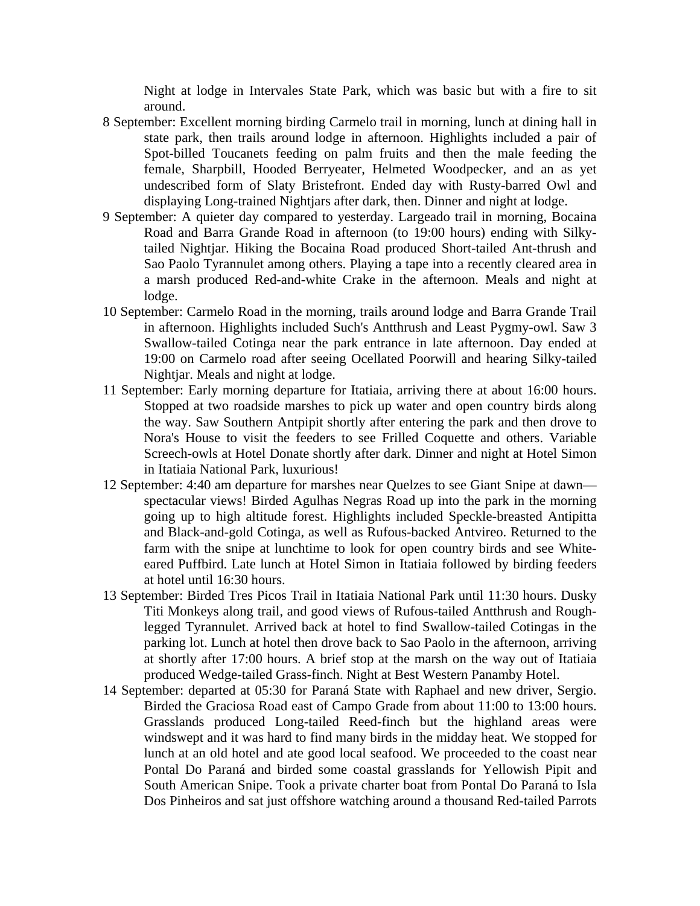Night at lodge in Intervales State Park, which was basic but with a fire to sit around.

- 8 September: Excellent morning birding Carmelo trail in morning, lunch at dining hall in state park, then trails around lodge in afternoon. Highlights included a pair of Spot-billed Toucanets feeding on palm fruits and then the male feeding the female, Sharpbill, Hooded Berryeater, Helmeted Woodpecker, and an as yet undescribed form of Slaty Bristefront. Ended day with Rusty-barred Owl and displaying Long-trained Nightjars after dark, then. Dinner and night at lodge.
- 9 September: A quieter day compared to yesterday. Largeado trail in morning, Bocaina Road and Barra Grande Road in afternoon (to 19:00 hours) ending with Silkytailed Nightjar. Hiking the Bocaina Road produced Short-tailed Ant-thrush and Sao Paolo Tyrannulet among others. Playing a tape into a recently cleared area in a marsh produced Red-and-white Crake in the afternoon. Meals and night at lodge.
- 10 September: Carmelo Road in the morning, trails around lodge and Barra Grande Trail in afternoon. Highlights included Such's Antthrush and Least Pygmy-owl. Saw 3 Swallow-tailed Cotinga near the park entrance in late afternoon. Day ended at 19:00 on Carmelo road after seeing Ocellated Poorwill and hearing Silky-tailed Nightjar. Meals and night at lodge.
- 11 September: Early morning departure for Itatiaia, arriving there at about 16:00 hours. Stopped at two roadside marshes to pick up water and open country birds along the way. Saw Southern Antpipit shortly after entering the park and then drove to Nora's House to visit the feeders to see Frilled Coquette and others. Variable Screech-owls at Hotel Donate shortly after dark. Dinner and night at Hotel Simon in Itatiaia National Park, luxurious!
- 12 September: 4:40 am departure for marshes near Quelzes to see Giant Snipe at dawn spectacular views! Birded Agulhas Negras Road up into the park in the morning going up to high altitude forest. Highlights included Speckle-breasted Antipitta and Black-and-gold Cotinga, as well as Rufous-backed Antvireo. Returned to the farm with the snipe at lunchtime to look for open country birds and see Whiteeared Puffbird. Late lunch at Hotel Simon in Itatiaia followed by birding feeders at hotel until 16:30 hours.
- 13 September: Birded Tres Picos Trail in Itatiaia National Park until 11:30 hours. Dusky Titi Monkeys along trail, and good views of Rufous-tailed Antthrush and Roughlegged Tyrannulet. Arrived back at hotel to find Swallow-tailed Cotingas in the parking lot. Lunch at hotel then drove back to Sao Paolo in the afternoon, arriving at shortly after 17:00 hours. A brief stop at the marsh on the way out of Itatiaia produced Wedge-tailed Grass-finch. Night at Best Western Panamby Hotel.
- 14 September: departed at 05:30 for Paraná State with Raphael and new driver, Sergio. Birded the Graciosa Road east of Campo Grade from about 11:00 to 13:00 hours. Grasslands produced Long-tailed Reed-finch but the highland areas were windswept and it was hard to find many birds in the midday heat. We stopped for lunch at an old hotel and ate good local seafood. We proceeded to the coast near Pontal Do Paraná and birded some coastal grasslands for Yellowish Pipit and South American Snipe. Took a private charter boat from Pontal Do Paraná to Isla Dos Pinheiros and sat just offshore watching around a thousand Red-tailed Parrots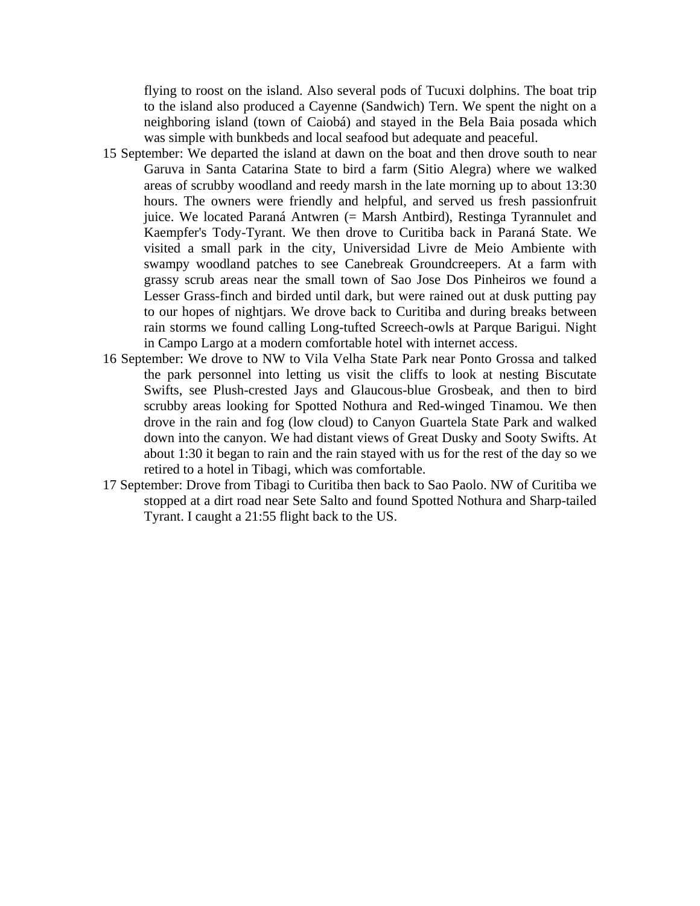flying to roost on the island. Also several pods of Tucuxi dolphins. The boat trip to the island also produced a Cayenne (Sandwich) Tern. We spent the night on a neighboring island (town of Caiobá) and stayed in the Bela Baia posada which was simple with bunkbeds and local seafood but adequate and peaceful.

- 15 September: We departed the island at dawn on the boat and then drove south to near Garuva in Santa Catarina State to bird a farm (Sitio Alegra) where we walked areas of scrubby woodland and reedy marsh in the late morning up to about 13:30 hours. The owners were friendly and helpful, and served us fresh passionfruit juice. We located Paraná Antwren (= Marsh Antbird), Restinga Tyrannulet and Kaempfer's Tody-Tyrant. We then drove to Curitiba back in Paraná State. We visited a small park in the city, Universidad Livre de Meio Ambiente with swampy woodland patches to see Canebreak Groundcreepers. At a farm with grassy scrub areas near the small town of Sao Jose Dos Pinheiros we found a Lesser Grass-finch and birded until dark, but were rained out at dusk putting pay to our hopes of nightjars. We drove back to Curitiba and during breaks between rain storms we found calling Long-tufted Screech-owls at Parque Barigui. Night in Campo Largo at a modern comfortable hotel with internet access.
- 16 September: We drove to NW to Vila Velha State Park near Ponto Grossa and talked the park personnel into letting us visit the cliffs to look at nesting Biscutate Swifts, see Plush-crested Jays and Glaucous-blue Grosbeak, and then to bird scrubby areas looking for Spotted Nothura and Red-winged Tinamou. We then drove in the rain and fog (low cloud) to Canyon Guartela State Park and walked down into the canyon. We had distant views of Great Dusky and Sooty Swifts. At about 1:30 it began to rain and the rain stayed with us for the rest of the day so we retired to a hotel in Tibagi, which was comfortable.
- 17 September: Drove from Tibagi to Curitiba then back to Sao Paolo. NW of Curitiba we stopped at a dirt road near Sete Salto and found Spotted Nothura and Sharp-tailed Tyrant. I caught a 21:55 flight back to the US.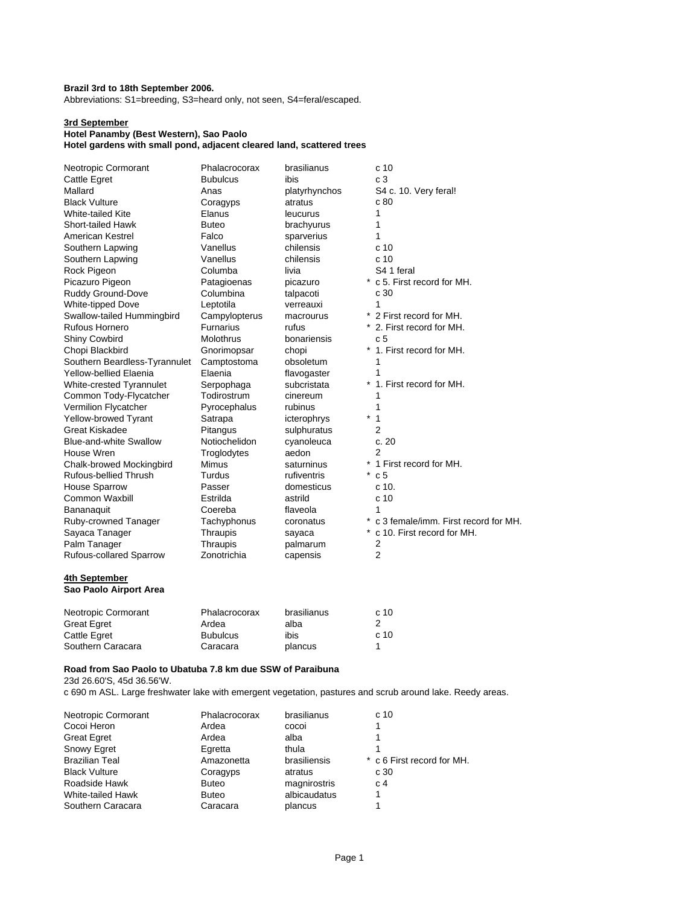## **Brazil 3rd to 18th September 2006.**

Abbreviations: S1=breeding, S3=heard only, not seen, S4=feral/escaped.

#### **3rd September**

## **Hotel Panamby (Best Western), Sao Paolo**

**Hotel gardens with small pond, adjacent cleared land, scattered trees**

| Neotropic Cormorant                     | Phalacrocorax    | brasilianus   | c <sub>10</sub>                      |
|-----------------------------------------|------------------|---------------|--------------------------------------|
| Cattle Egret                            | <b>Bubulcus</b>  | ibis          | c <sub>3</sub>                       |
| Mallard                                 | Anas             | platyrhynchos | S4 c. 10. Very feral!                |
| <b>Black Vulture</b>                    | Coragyps         | atratus       | c 80                                 |
| White-tailed Kite                       | Elanus           | leucurus      | 1                                    |
| <b>Short-tailed Hawk</b>                | <b>Buteo</b>     | brachyurus    | 1                                    |
| American Kestrel                        | Falco            | sparverius    | 1                                    |
| Southern Lapwing                        | Vanellus         | chilensis     | c 10                                 |
| Southern Lapwing                        | Vanellus         | chilensis     | c <sub>10</sub>                      |
| Rock Pigeon                             | Columba          | livia         | S4 1 feral                           |
| Picazuro Pigeon                         | Patagioenas      | picazuro      | * c 5. First record for MH.          |
| Ruddy Ground-Dove                       | Columbina        | talpacoti     | c 30                                 |
| <b>White-tipped Dove</b>                | Leptotila        | verreauxi     | 1                                    |
| Swallow-tailed Hummingbird              | Campylopterus    | macrourus     | 2 First record for MH.               |
| <b>Rufous Hornero</b>                   | <b>Furnarius</b> | rufus         | 2. First record for MH.              |
| <b>Shiny Cowbird</b>                    | Molothrus        | bonariensis   | c <sub>5</sub>                       |
| Chopi Blackbird                         | Gnorimopsar      | chopi         | 1. First record for MH.              |
| Southern Beardless-Tyrannulet           | Camptostoma      | obsoletum     | 1                                    |
| <b>Yellow-bellied Elaenia</b>           | Elaenia          | flavogaster   | 1                                    |
| White-crested Tyrannulet                | Serpophaga       | subcristata   | 1. First record for MH.              |
| Common Tody-Flycatcher                  | Todirostrum      | cinereum      | 1                                    |
| Vermilion Flycatcher                    | Pyrocephalus     | rubinus       | 1                                    |
| Yellow-browed Tyrant                    | Satrapa          | icterophrys   | $\mathbf{1}$<br>$\ast$               |
| <b>Great Kiskadee</b>                   | Pitangus         | sulphuratus   | $\overline{2}$                       |
| <b>Blue-and-white Swallow</b>           | Notiochelidon    | cyanoleuca    | c.20                                 |
| House Wren                              | Troglodytes      | aedon         | $\overline{2}$                       |
| Chalk-browed Mockingbird                | <b>Mimus</b>     | saturninus    | 1 First record for MH.               |
| Rufous-bellied Thrush                   | Turdus           | rufiventris   | $^{\ast}$<br>c <sub>5</sub>          |
| <b>House Sparrow</b>                    | Passer           | domesticus    | c 10.                                |
| <b>Common Waxbill</b>                   | Estrilda         | astrild       | c 10                                 |
| Bananaquit                              | Coereba          | flaveola      | 1                                    |
| Ruby-crowned Tanager                    | Tachyphonus      | coronatus     | c 3 female/imm. First record for MH. |
| Sayaca Tanager                          | Thraupis         | sayaca        | c 10. First record for MH.           |
| Palm Tanager                            | Thraupis         | palmarum      | 2                                    |
| Rufous-collared Sparrow                 | Zonotrichia      | capensis      | $\overline{2}$                       |
| 4th September<br>Sao Paolo Airport Area |                  |               |                                      |
| Neotronic Cormorant                     | Phalacrocorax    | hrasilianus   | c.10                                 |

| Neotropic Cormorant | Phalacrocorax   | brasilianus | c <sub>10</sub> |
|---------------------|-----------------|-------------|-----------------|
| <b>Great Egret</b>  | Ardea           | alba        |                 |
| <b>Cattle Egret</b> | <b>Bubulcus</b> | ibis        | c <sub>10</sub> |
| Southern Caracara   | Caracara        | plancus     |                 |

## **Road from Sao Paolo to Ubatuba 7.8 km due SSW of Paraibuna**

23d 26.60'S, 45d 36.56'W.

c 690 m ASL. Large freshwater lake with emergent vegetation, pastures and scrub around lake. Reedy areas.

| Neotropic Cormorant   | Phalacrocorax | brasilianus  | c <sub>10</sub>            |
|-----------------------|---------------|--------------|----------------------------|
| Cocoi Heron           | Ardea         | cocoi        |                            |
| <b>Great Egret</b>    | Ardea         | alba         |                            |
| <b>Snowy Egret</b>    | Egretta       | thula        |                            |
| <b>Brazilian Teal</b> | Amazonetta    | brasiliensis | * c 6 First record for MH. |
| <b>Black Vulture</b>  | Coragyps      | atratus      | c 30                       |
| Roadside Hawk         | <b>Buteo</b>  | magnirostris | C <sub>1</sub>             |
| White-tailed Hawk     | <b>Buteo</b>  | albicaudatus |                            |
| Southern Caracara     | Caracara      | plancus      |                            |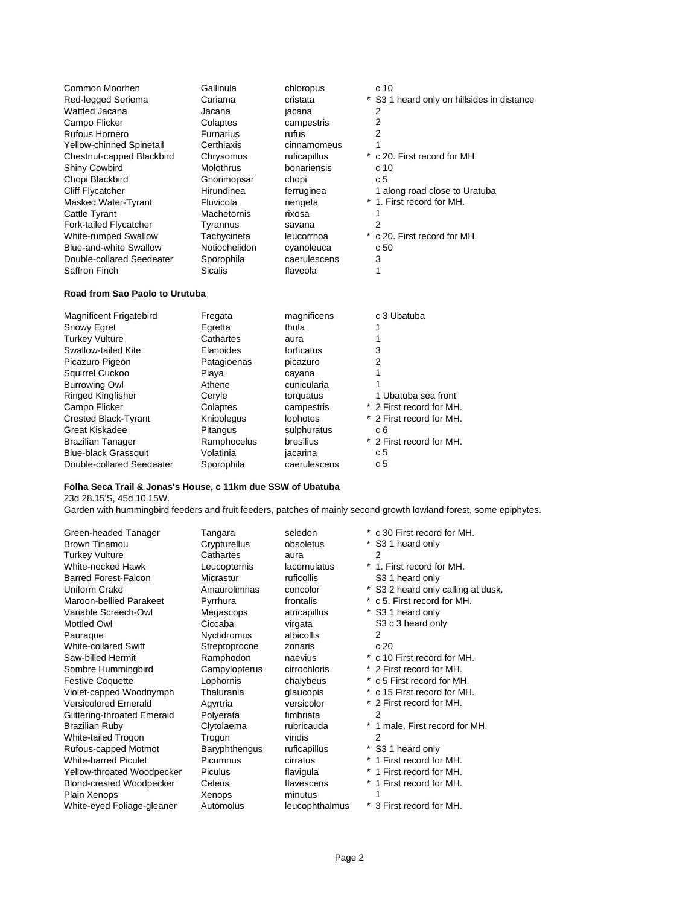| Common Moorhen<br>Red-legged Seriema<br>Wattled Jacana<br>Campo Flicker<br>Rufous Hornero<br>Yellow-chinned Spinetail<br>Chestnut-capped Blackbird<br><b>Shiny Cowbird</b><br>Chopi Blackbird<br><b>Cliff Flycatcher</b><br>Masked Water-Tyrant<br>Cattle Tyrant<br>Fork-tailed Flycatcher<br>White-rumped Swallow<br><b>Blue-and-white Swallow</b> | Gallinula<br>Cariama<br>Jacana<br>Colaptes<br><b>Furnarius</b><br>Certhiaxis<br>Chrysomus<br><b>Molothrus</b><br>Gnorimopsar<br>Hirundinea<br>Fluvicola<br>Machetornis<br>Tyrannus<br>Tachycineta<br>Notiochelidon | chloropus<br>cristata<br>jacana<br>campestris<br>rufus<br>cinnamomeus<br>ruficapillus<br>bonariensis<br>chopi<br>ferruginea<br>nengeta<br>rixosa<br>savana<br>leucorrhoa<br>cyanoleuca | c 10<br>* S3 1 heard only on hillsides in distance<br>2<br>2<br>2<br>* c 20. First record for MH.<br>c 10<br>c 5<br>1 along road close to Uratuba<br>* 1. First record for MH.<br>2<br>* c 20. First record for MH.<br>c 50 |
|-----------------------------------------------------------------------------------------------------------------------------------------------------------------------------------------------------------------------------------------------------------------------------------------------------------------------------------------------------|--------------------------------------------------------------------------------------------------------------------------------------------------------------------------------------------------------------------|----------------------------------------------------------------------------------------------------------------------------------------------------------------------------------------|-----------------------------------------------------------------------------------------------------------------------------------------------------------------------------------------------------------------------------|
| Double-collared Seedeater<br>Saffron Finch                                                                                                                                                                                                                                                                                                          | Sporophila<br><b>Sicalis</b>                                                                                                                                                                                       | caerulescens<br>flaveola                                                                                                                                                               | 3<br>1                                                                                                                                                                                                                      |
| Road from Sao Paolo to Urutuba                                                                                                                                                                                                                                                                                                                      |                                                                                                                                                                                                                    |                                                                                                                                                                                        |                                                                                                                                                                                                                             |
| <b>Magnificent Frigatebird</b>                                                                                                                                                                                                                                                                                                                      | Fregata                                                                                                                                                                                                            | magnificens                                                                                                                                                                            | c 3 Ubatuba                                                                                                                                                                                                                 |

| Snowy Egret                 | Egretta     | thula        |                          |
|-----------------------------|-------------|--------------|--------------------------|
| <b>Turkey Vulture</b>       | Cathartes   | aura         |                          |
| Swallow-tailed Kite         | Elanoides   | forficatus   | 3                        |
| Picazuro Pigeon             | Patagioenas | picazuro     | 2                        |
| Squirrel Cuckoo             | Piaya       | cayana       |                          |
| <b>Burrowing Owl</b>        | Athene      | cunicularia  |                          |
| <b>Ringed Kingfisher</b>    | Cervle      | torquatus    | 1 Ubatuba sea front      |
| Campo Flicker               | Colaptes    | campestris   | * 2 First record for MH. |
| <b>Crested Black-Tyrant</b> | Knipolegus  | lophotes     | * 2 First record for MH. |
| Great Kiskadee              | Pitangus    | sulphuratus  | c 6                      |
| <b>Brazilian Tanager</b>    | Ramphocelus | bresilius    | * 2 First record for MH. |
| <b>Blue-black Grassquit</b> | Volatinia   | jacarina     | c <sub>5</sub>           |
| Double-collared Seedeater   | Sporophila  | caerulescens | c 5                      |
|                             |             |              |                          |

## **Folha Seca Trail & Jonas's House, c 11km due SSW of Ubatuba**

23d 28.15'S, 45d 10.15W.

Garden with hummingbird feeders and fruit feeders, patches of mainly second growth lowland forest, some epiphytes.

| Green-headed Tanager            | Tangara       | seledon        |         | * c 30 First record for MH.        |
|---------------------------------|---------------|----------------|---------|------------------------------------|
| <b>Brown Tinamou</b>            | Crypturellus  | obsoletus      |         | * S3 1 heard only                  |
| <b>Turkey Vulture</b>           | Cathartes     | aura           |         | 2                                  |
| White-necked Hawk               | Leucopternis  | lacernulatus   |         | * 1. First record for MH.          |
| <b>Barred Forest-Falcon</b>     | Micrastur     | ruficollis     |         | S3 1 heard only                    |
| Uniform Crake                   | Amaurolimnas  | concolor       |         | * S3 2 heard only calling at dusk. |
| <b>Maroon-bellied Parakeet</b>  | Pyrrhura      | frontalis      |         | * c 5. First record for MH.        |
| Variable Screech-Owl            | Megascops     | atricapillus   |         | * S3 1 heard only                  |
| Mottled Owl                     | Ciccaba       | virgata        |         | S3 c 3 heard only                  |
| Pauraque                        | Nyctidromus   | albicollis     |         | 2                                  |
| <b>White-collared Swift</b>     | Streptoprocne | zonaris        |         | c20                                |
| Saw-billed Hermit               | Ramphodon     | naevius        |         | * c 10 First record for MH.        |
| Sombre Hummingbird              | Campylopterus | cirrochloris   |         | * 2 First record for MH.           |
| <b>Festive Coquette</b>         | Lophornis     | chalybeus      |         | * c 5 First record for MH.         |
| Violet-capped Woodnymph         | Thalurania    | glaucopis      |         | * c 15 First record for MH.        |
| <b>Versicolored Emerald</b>     | Agyrtria      | versicolor     |         | * 2 First record for MH.           |
| Glittering-throated Emerald     | Polyerata     | fimbriata      |         | 2                                  |
| <b>Brazilian Ruby</b>           | Clytolaema    | rubricauda     |         | 1 male. First record for MH.       |
| White-tailed Trogon             | Trogon        | viridis        |         | 2                                  |
| Rufous-capped Motmot            | Baryphthengus | ruficapillus   |         | S <sub>3</sub> 1 heard only        |
| <b>White-barred Piculet</b>     | Picumnus      | cirratus       | $\star$ | 1 First record for MH.             |
| Yellow-throated Woodpecker      | Piculus       | flavigula      |         | 1 First record for MH.             |
| <b>Blond-crested Woodpecker</b> | Celeus        | flavescens     |         | * 1 First record for MH.           |
| Plain Xenops                    | Xenops        | minutus        |         | 1                                  |
| White-eyed Foliage-gleaner      | Automolus     | leucophthalmus |         | * 3 First record for MH.           |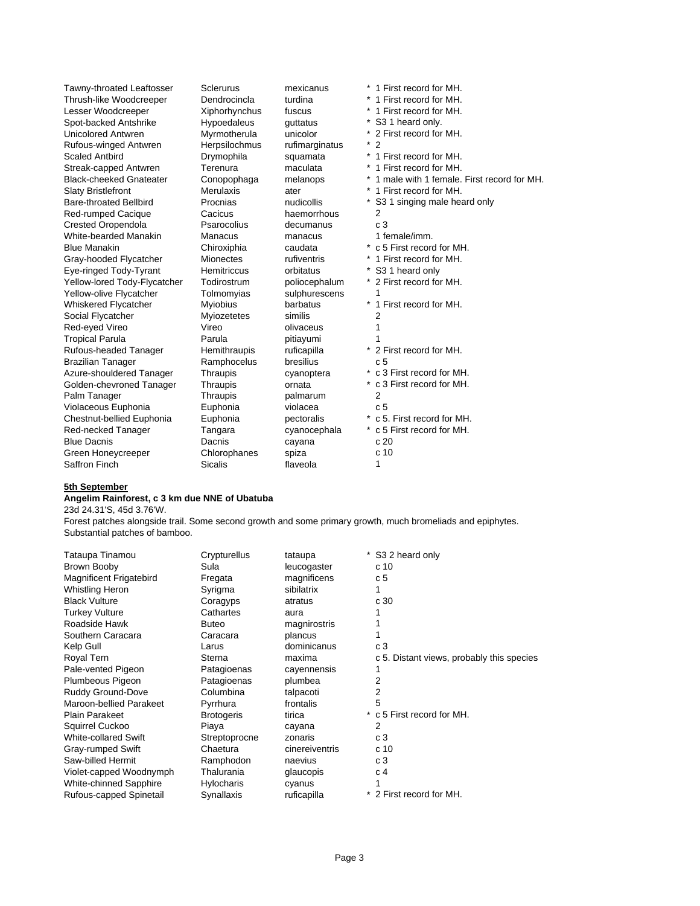| Tawny-throated Leaftosser      | Sclerurus          | mexicanus      | * 1 First record for MH.                        |
|--------------------------------|--------------------|----------------|-------------------------------------------------|
| Thrush-like Woodcreeper        | Dendrocincla       | turdina        | * 1 First record for MH.                        |
| Lesser Woodcreeper             | Xiphorhynchus      | fuscus         | * 1 First record for MH.                        |
| Spot-backed Antshrike          | Hypoedaleus        | quttatus       | $^{\ast}$<br>S <sub>3</sub> 1 heard only.       |
| Unicolored Antwren             | Myrmotherula       | unicolor       | * 2 First record for MH.                        |
| Rufous-winged Antwren          | Herpsilochmus      | rufimarginatus | $^*$ 2                                          |
| Scaled Antbird                 | Drymophila         | squamata       | *<br>1 First record for MH.                     |
| Streak-capped Antwren          | Terenura           | maculata       | *<br>1 First record for MH.                     |
| <b>Black-cheeked Gnateater</b> | Conopophaga        | melanops       | *<br>1 male with 1 female. First record for MH. |
| <b>Slaty Bristlefront</b>      | <b>Merulaxis</b>   | ater           | 1 First record for MH.                          |
| <b>Bare-throated Bellbird</b>  | Procnias           | nudicollis     | S3 1 singing male heard only                    |
| Red-rumped Cacique             | Cacicus            | haemorrhous    | 2                                               |
| <b>Crested Oropendola</b>      | Psarocolius        | decumanus      | c <sub>3</sub>                                  |
| White-bearded Manakin          | <b>Manacus</b>     | manacus        | 1 female/imm.                                   |
| <b>Blue Manakin</b>            | Chiroxiphia        | caudata        | c 5 First record for MH.                        |
| Gray-hooded Flycatcher         | <b>Mionectes</b>   | rufiventris    | 1 First record for MH.                          |
| Eye-ringed Tody-Tyrant         | <b>Hemitriccus</b> | orbitatus      | S <sub>3</sub> 1 heard only                     |
| Yellow-lored Tody-Flycatcher   | Todirostrum        | poliocephalum  | * 2 First record for MH.                        |
| Yellow-olive Flycatcher        | Tolmomyias         | sulphurescens  |                                                 |
| <b>Whiskered Flycatcher</b>    | Myiobius           | barbatus       | *<br>1 First record for MH.                     |
| Social Flycatcher              | Myiozetetes        | similis        | 2                                               |
| Red-eyed Vireo                 | Vireo              | olivaceus      |                                                 |
| <b>Tropical Parula</b>         | Parula             | pitiayumi      |                                                 |
| Rufous-headed Tanager          | Hemithraupis       | ruficapilla    | 2 First record for MH.                          |
| <b>Brazilian Tanager</b>       | Ramphocelus        | bresilius      | c <sub>5</sub>                                  |
| Azure-shouldered Tanager       | Thraupis           | cyanoptera     | * c 3 First record for MH.                      |
| Golden-chevroned Tanager       | Thraupis           | ornata         | * c 3 First record for MH.                      |
| Palm Tanager                   | Thraupis           | palmarum       | 2                                               |
| Violaceous Euphonia            | Euphonia           | violacea       | c <sub>5</sub>                                  |
| Chestnut-bellied Euphonia      | Euphonia           | pectoralis     | * c 5. First record for MH.                     |
| Red-necked Tanager             | Tangara            | cyanocephala   | * c 5 First record for MH.                      |
| <b>Blue Dacnis</b>             | Dacnis             | cayana         | c20                                             |
| Green Honeycreeper             | Chlorophanes       | spiza          | c <sub>10</sub>                                 |
| Saffron Finch                  | <b>Sicalis</b>     | flaveola       | 1                                               |

### **5th September**

#### **Angelim Rainforest, c 3 km due NNE of Ubatuba**

23d 24.31'S, 45d 3.76'W.

Forest patches alongside trail. Some second growth and some primary growth, much bromeliads and epiphytes. Substantial patches of bamboo.

| Tataupa Tinamou             | Crypturellus      | tataupa        | * S3 2 heard only                         |
|-----------------------------|-------------------|----------------|-------------------------------------------|
| Brown Booby                 | Sula              | leucogaster    | c 10                                      |
| Magnificent Frigatebird     | Fregata           | magnificens    | c <sub>5</sub>                            |
| Whistling Heron             | Syrigma           | sibilatrix     |                                           |
| <b>Black Vulture</b>        | Coragyps          | atratus        | c 30                                      |
| <b>Turkey Vulture</b>       | Cathartes         | aura           |                                           |
| Roadside Hawk               | <b>Buteo</b>      | magnirostris   |                                           |
| Southern Caracara           | Caracara          | plancus        |                                           |
| Kelp Gull                   | Larus             | dominicanus    | c <sub>3</sub>                            |
| Royal Tern                  | Sterna            | maxima         | c 5. Distant views, probably this species |
| Pale-vented Pigeon          | Patagioenas       | cayennensis    |                                           |
| Plumbeous Pigeon            | Patagioenas       | plumbea        | 2                                         |
| Ruddy Ground-Dove           | Columbina         | talpacoti      | 2                                         |
| Maroon-bellied Parakeet     | Pyrrhura          | frontalis      | 5                                         |
| <b>Plain Parakeet</b>       | <b>Brotogeris</b> | tirica         | * c 5 First record for MH.                |
| Squirrel Cuckoo             | Piaya             | cayana         | 2                                         |
| <b>White-collared Swift</b> | Streptoprocne     | zonaris        | c <sub>3</sub>                            |
| Gray-rumped Swift           | Chaetura          | cinereiventris | c 10                                      |
| Saw-billed Hermit           | Ramphodon         | naevius        | c3                                        |
| Violet-capped Woodnymph     | Thalurania        | glaucopis      | c 4                                       |
| White-chinned Sapphire      | <b>Hylocharis</b> | cyanus         |                                           |
| Rufous-capped Spinetail     | Synallaxis        | ruficapilla    | * 2 First record for MH.                  |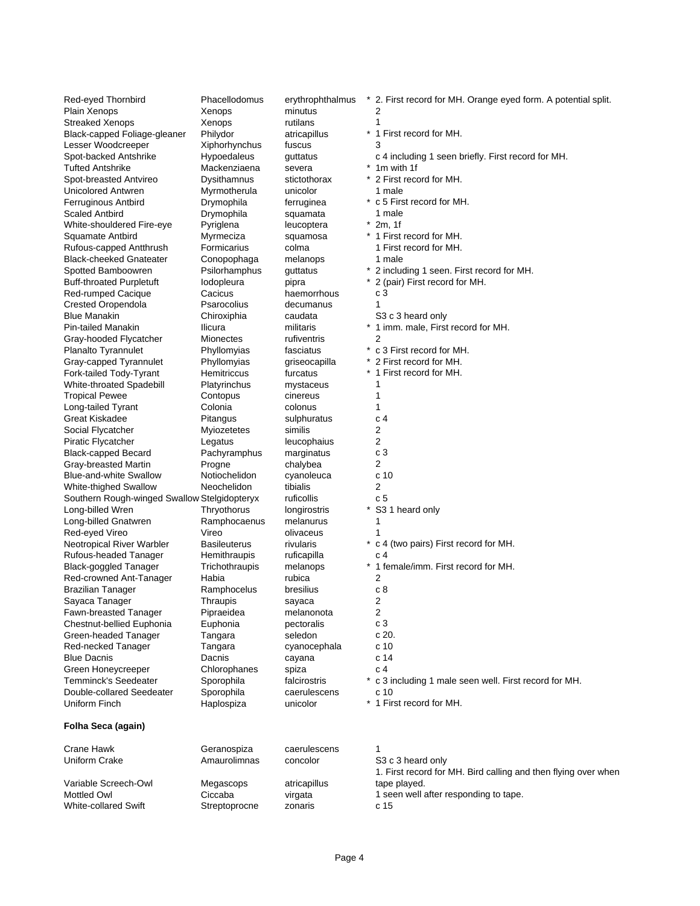| Red-eyed Thornbird                                    | Phacellodomus                | erythrophthalmus       | * 2. First record for MH. Orange eyed form. A potential split. |
|-------------------------------------------------------|------------------------------|------------------------|----------------------------------------------------------------|
| Plain Xenops                                          | Xenops                       | minutus                | 2                                                              |
| <b>Streaked Xenops</b>                                | Xenops                       | rutilans               | 1                                                              |
| Black-capped Foliage-gleaner                          | Philydor                     | atricapillus           | * 1 First record for MH.                                       |
| Lesser Woodcreeper                                    | Xiphorhynchus                | fuscus                 | 3                                                              |
| Spot-backed Antshrike                                 | <b>Hypoedaleus</b>           | guttatus               | c 4 including 1 seen briefly. First record for MH.             |
| <b>Tufted Antshrike</b>                               | Mackenziaena                 | severa                 | * 1m with 1f                                                   |
| Spot-breasted Antvireo                                | Dysithamnus                  | stictothorax           | * 2 First record for MH.                                       |
| Unicolored Antwren                                    | Myrmotherula                 | unicolor               | 1 male                                                         |
| Ferruginous Antbird                                   | Drymophila                   | ferruginea             | * c 5 First record for MH.                                     |
| <b>Scaled Antbird</b>                                 | Drymophila                   | squamata               | 1 male                                                         |
| White-shouldered Fire-eye                             | Pyriglena                    | leucoptera             | $*$ 2m, 1f                                                     |
| Squamate Antbird                                      | Myrmeciza                    | squamosa               | * 1 First record for MH.                                       |
| Rufous-capped Antthrush                               | Formicarius                  | colma                  | 1 First record for MH.                                         |
| <b>Black-cheeked Gnateater</b><br>Spotted Bamboowren  | Conopophaga<br>Psilorhamphus | melanops<br>guttatus   | 1 male<br>* 2 including 1 seen. First record for MH.           |
|                                                       | lodopleura                   | pipra                  | 2 (pair) First record for MH.                                  |
| <b>Buff-throated Purpletuft</b><br>Red-rumped Cacique | Cacicus                      | haemorrhous            | c 3                                                            |
| Crested Oropendola                                    | Psarocolius                  | decumanus              | 1                                                              |
| <b>Blue Manakin</b>                                   | Chiroxiphia                  | caudata                | S <sub>3</sub> c 3 heard only                                  |
| Pin-tailed Manakin                                    | Ilicura                      | militaris              | * 1 imm. male, First record for MH.                            |
| Gray-hooded Flycatcher                                | Mionectes                    | rufiventris            | 2                                                              |
| Planalto Tyrannulet                                   | Phyllomyias                  | fasciatus              | * c 3 First record for MH.                                     |
| Gray-capped Tyrannulet                                | Phyllomyias                  | griseocapilla          | 2 First record for MH.                                         |
| Fork-tailed Tody-Tyrant                               | Hemitriccus                  | furcatus               | * 1 First record for MH.                                       |
| White-throated Spadebill                              | Platyrinchus                 | mystaceus              | 1                                                              |
| <b>Tropical Pewee</b>                                 | Contopus                     | cinereus               | 1                                                              |
| Long-tailed Tyrant                                    | Colonia                      | colonus                | 1                                                              |
| Great Kiskadee                                        | Pitangus                     | sulphuratus            | c <sub>4</sub>                                                 |
| Social Flycatcher                                     | Myiozetetes                  | similis                | 2                                                              |
| Piratic Flycatcher                                    | Legatus                      | leucophaius            | 2                                                              |
| Black-capped Becard                                   | Pachyramphus                 | marginatus             | c <sub>3</sub>                                                 |
| Gray-breasted Martin                                  | Progne                       | chalybea               | 2                                                              |
| <b>Blue-and-white Swallow</b>                         | Notiochelidon                | cyanoleuca             | c <sub>10</sub>                                                |
| White-thighed Swallow                                 | Neochelidon                  | tibialis               | 2                                                              |
| Southern Rough-winged Swallow Stelgidopteryx          |                              | ruficollis             | c 5                                                            |
| Long-billed Wren                                      | Thryothorus                  | longirostris           | * S3 1 heard only                                              |
| Long-billed Gnatwren                                  | Ramphocaenus                 | melanurus              | 1                                                              |
| Red-eyed Vireo                                        | Vireo                        | olivaceus              | 1                                                              |
| Neotropical River Warbler                             | <b>Basileuterus</b>          | rivularis              | * c 4 (two pairs) First record for MH.                         |
| Rufous-headed Tanager                                 | Hemithraupis                 | ruficapilla            | c 4                                                            |
| <b>Black-goggled Tanager</b>                          | Trichothraupis               | melanops               | * 1 female/imm. First record for MH.                           |
| Red-crowned Ant-Tanager                               | Habia                        | rubica                 | 2                                                              |
| <b>Brazilian Tanager</b>                              | Ramphocelus                  | bresilius              | c8                                                             |
| Sayaca Tanager                                        | Thraupis                     | sayaca                 | 2                                                              |
| Fawn-breasted Tanager                                 | Pipraeidea                   | melanonota             | 2                                                              |
| Chestnut-bellied Euphonia                             | Euphonia                     | pectoralis<br>seledon  | c 3<br>c 20.                                                   |
| Green-headed Tanager<br>Red-necked Tanager            | Tangara<br>Tangara           |                        | c <sub>10</sub>                                                |
| <b>Blue Dacnis</b>                                    | Dacnis                       | cyanocephala<br>cayana | c 14                                                           |
| Green Honeycreeper                                    | Chlorophanes                 | spiza                  | c <sub>4</sub>                                                 |
| <b>Temminck's Seedeater</b>                           | Sporophila                   | falcirostris           | * c 3 including 1 male seen well. First record for MH.         |
| Double-collared Seedeater                             | Sporophila                   | caerulescens           | c <sub>10</sub>                                                |
| Uniform Finch                                         | Haplospiza                   | unicolor               | * 1 First record for MH.                                       |
|                                                       |                              |                        |                                                                |
| Folha Seca (again)                                    |                              |                        |                                                                |
| Crane Hawk                                            | Geranospiza                  | caerulescens           | 1                                                              |
| Uniform Crake                                         | Amaurolimnas                 | concolor               | S3 c 3 heard only                                              |
|                                                       |                              |                        | 1. First record for MH. Bird calling and then flying over when |
| Variable Screech-Owl                                  | Megascops                    | atricapillus           | tape played.                                                   |
| <b>Mottled Owl</b>                                    | Ciccaba                      | virgata                | 1 seen well after responding to tape.                          |
| White-collared Swift                                  | Streptoprocne                | zonaris                | c 15                                                           |
|                                                       |                              |                        |                                                                |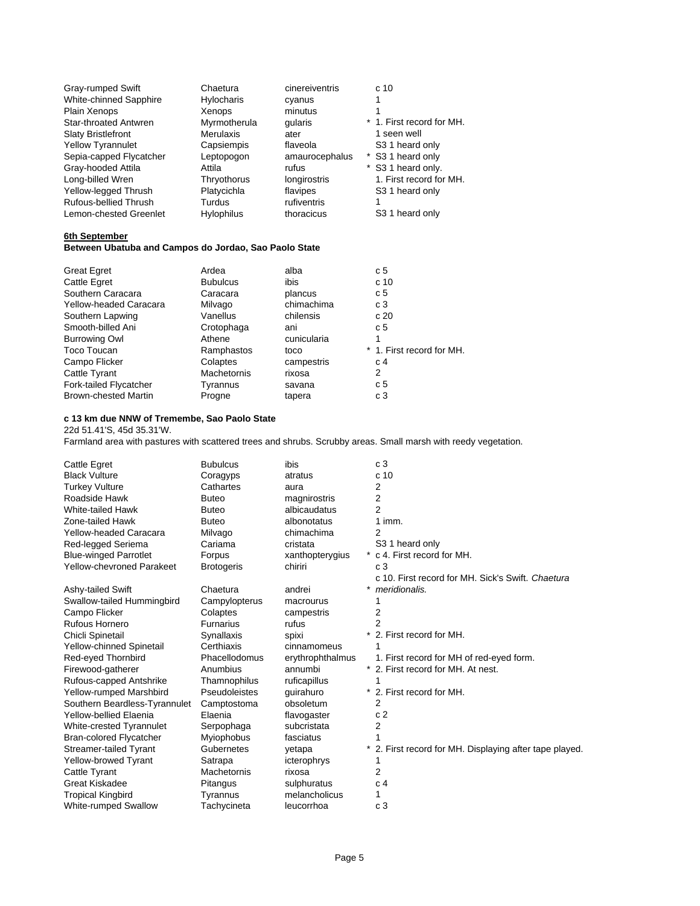| Gray-rumped Swift         | Chaetura          | cinereiventris | c <sub>10</sub>             |
|---------------------------|-------------------|----------------|-----------------------------|
| White-chinned Sapphire    | <b>Hylocharis</b> | cyanus         |                             |
| Plain Xenops              | Xenops            | minutus        |                             |
| Star-throated Antwren     | Myrmotherula      | qularis        | * 1. First record for MH.   |
| <b>Slaty Bristlefront</b> | <b>Merulaxis</b>  | ater           | 1 seen well                 |
| <b>Yellow Tyrannulet</b>  | Capsiempis        | flaveola       | S3 1 heard only             |
| Sepia-capped Flycatcher   | Leptopogon        | amaurocephalus | * S3 1 heard only           |
| Gray-hooded Attila        | Attila            | rufus          | * S3 1 heard only.          |
| Long-billed Wren          | Thryothorus       | longirostris   | 1. First record for MH.     |
| Yellow-legged Thrush      | Platycichla       | flavipes       | S <sub>3</sub> 1 heard only |
| Rufous-bellied Thrush     | Turdus            | rufiventris    |                             |
| Lemon-chested Greenlet    | <b>Hylophilus</b> | thoracicus     | S <sub>3</sub> 1 heard only |

### **6th September**

#### **Between Ubatuba and Campos do Jordao, Sao Paolo State**

| Ardea              | alba        | c <sub>5</sub>            |
|--------------------|-------------|---------------------------|
| <b>Bubulcus</b>    | ibis        | c 10                      |
| Caracara           | plancus     | c <sub>5</sub>            |
| Milvago            | chimachima  | c 3                       |
| Vanellus           | chilensis   | c 20                      |
| Crotophaga         | ani         | c 5                       |
| Athene             | cunicularia | 1                         |
| Ramphastos         | toco        | * 1. First record for MH. |
| Colaptes           | campestris  | c 4                       |
| <b>Machetornis</b> | rixosa      | 2                         |
| Tyrannus           | savana      | c <sub>5</sub>            |
| Progne             | tapera      | c 3                       |
|                    |             |                           |

## **c 13 km due NNW of Tremembe, Sao Paolo State**

22d 51.41'S, 45d 35.31'W.

Farmland area with pastures with scattered trees and shrubs. Scrubby areas. Small marsh with reedy vegetation.

| Cattle Egret                     | <b>Bubulcus</b>    | ibis             | c <sub>3</sub>                                        |
|----------------------------------|--------------------|------------------|-------------------------------------------------------|
| <b>Black Vulture</b>             | Coragyps           | atratus          | c <sub>10</sub>                                       |
| <b>Turkey Vulture</b>            | Cathartes          | aura             | 2                                                     |
| Roadside Hawk                    | <b>Buteo</b>       | magnirostris     | 2                                                     |
| White-tailed Hawk                | <b>Buteo</b>       | albicaudatus     | $\overline{2}$                                        |
| Zone-tailed Hawk                 | <b>Buteo</b>       | albonotatus      | $1$ imm.                                              |
| Yellow-headed Caracara           | Milvago            | chimachima       | $\overline{2}$                                        |
| Red-legged Seriema               | Cariama            | cristata         | S3 1 heard only                                       |
| <b>Blue-winged Parrotlet</b>     | Forpus             | xanthopterygius  | * c 4. First record for MH.                           |
| <b>Yellow-chevroned Parakeet</b> | <b>Brotogeris</b>  | chiriri          | c <sub>3</sub>                                        |
|                                  |                    |                  | c 10. First record for MH. Sick's Swift. Chaetura     |
| Ashy-tailed Swift                | Chaetura           | andrei           | meridionalis.                                         |
| Swallow-tailed Hummingbird       | Campylopterus      | macrourus        |                                                       |
| Campo Flicker                    | Colaptes           | campestris       | 2                                                     |
| Rufous Hornero                   | <b>Furnarius</b>   | rufus            | 2                                                     |
| Chicli Spinetail                 | Synallaxis         | spixi            | 2. First record for MH.                               |
| <b>Yellow-chinned Spinetail</b>  | Certhiaxis         | cinnamomeus      |                                                       |
| Red-eyed Thornbird               | Phacellodomus      | erythrophthalmus | 1. First record for MH of red-eyed form.              |
| Firewood-gatherer                | Anumbius           | annumbi          | 2. First record for MH. At nest.                      |
| Rufous-capped Antshrike          | Thamnophilus       | ruficapillus     |                                                       |
| Yellow-rumped Marshbird          | Pseudoleistes      | guirahuro        | 2. First record for MH.                               |
| Southern Beardless-Tyrannulet    | Camptostoma        | obsoletum        | 2                                                     |
| Yellow-bellied Elaenia           | Elaenia            | flavogaster      | c <sub>2</sub>                                        |
| White-crested Tyrannulet         | Serpophaga         | subcristata      | 2                                                     |
| <b>Bran-colored Flycatcher</b>   | Myiophobus         | fasciatus        |                                                       |
| <b>Streamer-tailed Tyrant</b>    | Gubernetes         | yetapa           | 2. First record for MH. Displaying after tape played. |
| Yellow-browed Tyrant             | Satrapa            | icterophrys      |                                                       |
| Cattle Tyrant                    | <b>Machetornis</b> | rixosa           | 2                                                     |
| <b>Great Kiskadee</b>            | Pitangus           | sulphuratus      | c 4                                                   |
| <b>Tropical Kingbird</b>         | Tyrannus           | melancholicus    |                                                       |
| <b>White-rumped Swallow</b>      | Tachycineta        | leucorrhoa       | c <sub>3</sub>                                        |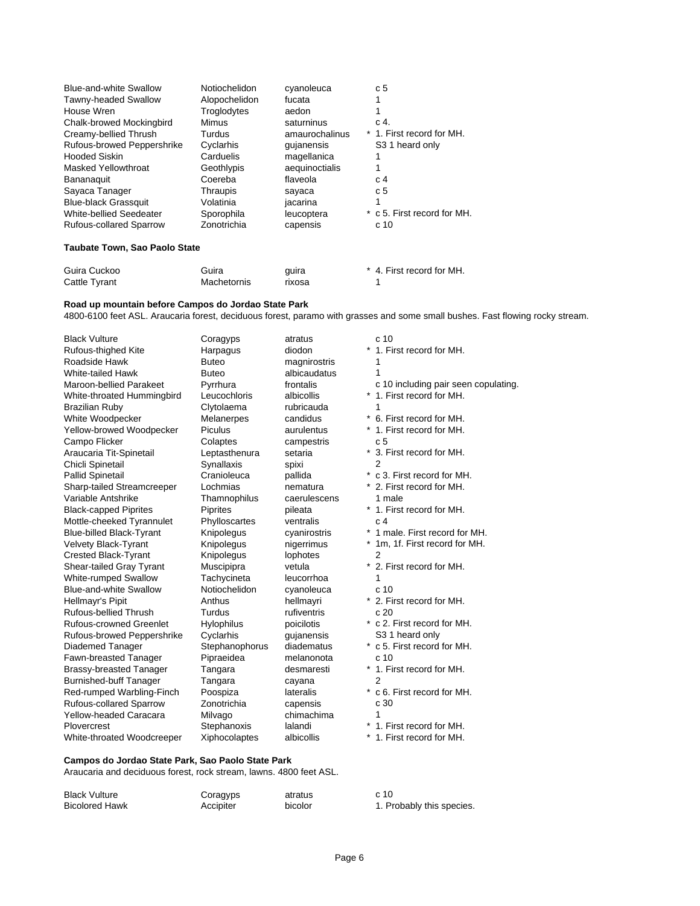| <b>Blue-and-white Swallow</b>  | Notiochelidon | cyanoleuca     | c <sub>5</sub>              |
|--------------------------------|---------------|----------------|-----------------------------|
| Tawny-headed Swallow           | Alopochelidon | fucata         |                             |
| House Wren                     | Troglodytes   | aedon          |                             |
| Chalk-browed Mockingbird       | Mimus         | saturninus     | C <sub>4</sub>              |
| Creamy-bellied Thrush          | Turdus        | amaurochalinus | * 1. First record for MH.   |
| Rufous-browed Peppershrike     | Cyclarhis     | quianensis     | S <sub>3</sub> 1 heard only |
| <b>Hooded Siskin</b>           | Carduelis     | magellanica    |                             |
| Masked Yellowthroat            | Geothlypis    | aequinoctialis | 1                           |
| Bananaquit                     | Coereba       | flaveola       | C <sub>4</sub>              |
| Sayaca Tanager                 | Thraupis      | sayaca         | c <sub>5</sub>              |
| <b>Blue-black Grassquit</b>    | Volatinia     | jacarina       |                             |
| White-bellied Seedeater        | Sporophila    | leucoptera     | * c 5. First record for MH. |
| <b>Rufous-collared Sparrow</b> | Zonotrichia   | capensis       | c <sub>10</sub>             |
|                                |               |                |                             |

### **Taubate Town, Sao Paolo State**

| Guira Cuckoo  | Guira       | quira  | * 4. First record for MH. |
|---------------|-------------|--------|---------------------------|
| Cattle Tyrant | Machetornis | rixosa |                           |

### **Road up mountain before Campos do Jordao State Park**

4800-6100 feet ASL. Araucaria forest, deciduous forest, paramo with grasses and some small bushes. Fast flowing rocky stream.

| <b>Black Vulture</b>           | Coragyps          | atratus      | c 10                                 |
|--------------------------------|-------------------|--------------|--------------------------------------|
| Rufous-thighed Kite            | Harpagus          | diodon       | *<br>1. First record for MH.         |
| Roadside Hawk                  | <b>Buteo</b>      | magnirostris | 1                                    |
| White-tailed Hawk              | <b>Buteo</b>      | albicaudatus | 1                                    |
| Maroon-bellied Parakeet        | Pyrrhura          | frontalis    | c 10 including pair seen copulating. |
| White-throated Hummingbird     | Leucochloris      | albicollis   | 1. First record for MH.<br>*         |
| Brazilian Ruby                 | Clytolaema        | rubricauda   | 1                                    |
| White Woodpecker               | Melanerpes        | candidus     | * 6. First record for MH.            |
| Yellow-browed Woodpecker       | Piculus           | aurulentus   | 1. First record for MH.              |
| Campo Flicker                  | Colaptes          | campestris   | c <sub>5</sub>                       |
| Araucaria Tit-Spinetail        | Leptasthenura     | setaria      | * 3. First record for MH.            |
| Chicli Spinetail               | Synallaxis        | spixi        | $\overline{2}$                       |
| Pallid Spinetail               | Cranioleuca       | pallida      | *<br>c 3. First record for MH.       |
| Sharp-tailed Streamcreeper     | Lochmias          | nematura     | * 2. First record for MH.            |
| Variable Antshrike             | Thamnophilus      | caerulescens | 1 male                               |
| <b>Black-capped Piprites</b>   | <b>Piprites</b>   | pileata      | 1. First record for MH.              |
| Mottle-cheeked Tyrannulet      | Phylloscartes     | ventralis    | c <sub>4</sub>                       |
| Blue-billed Black-Tyrant       | Knipolegus        | cyanirostris | 1 male. First record for MH.         |
| Velvety Black-Tyrant           | Knipolegus        | nigerrimus   | 1m, 1f. First record for MH.         |
| Crested Black-Tyrant           | Knipolegus        | lophotes     | 2                                    |
| Shear-tailed Gray Tyrant       | Muscipipra        | vetula       | 2. First record for MH.              |
| <b>White-rumped Swallow</b>    | Tachycineta       | leucorrhoa   | 1                                    |
| <b>Blue-and-white Swallow</b>  | Notiochelidon     | cyanoleuca   | c <sub>10</sub>                      |
| Hellmayr's Pipit               | Anthus            | hellmayri    | * 2. First record for MH.            |
| Rufous-bellied Thrush          | Turdus            | rufiventris  | c20                                  |
| Rufous-crowned Greenlet        | <b>Hylophilus</b> | poicilotis   | * c 2. First record for MH.          |
| Rufous-browed Peppershrike     | Cyclarhis         | gujanensis   | S <sub>3</sub> 1 heard only          |
| Diademed Tanager               | Stephanophorus    | diadematus   | * c 5. First record for MH.          |
| Fawn-breasted Tanager          | Pipraeidea        | melanonota   | c <sub>10</sub>                      |
| Brassy-breasted Tanager        | Tangara           | desmaresti   | * 1. First record for MH.            |
| <b>Burnished-buff Tanager</b>  | Tangara           | cayana       | 2                                    |
| Red-rumped Warbling-Finch      | Poospiza          | lateralis    | c 6. First record for MH.            |
| <b>Rufous-collared Sparrow</b> | Zonotrichia       | capensis     | c 30                                 |
| Yellow-headed Caracara         | Milvago           | chimachima   | 1                                    |
| Plovercrest                    | Stephanoxis       | lalandi      | 1. First record for MH.              |
| White-throated Woodcreeper     | Xiphocolaptes     | albicollis   | 1. First record for MH.              |
|                                |                   |              |                                      |

## **Campos do Jordao State Park, Sao Paolo State Park**

Araucaria and deciduous forest, rock stream, lawns. 4800 feet ASL.

| <b>Black Vulture</b>  | Coragyps  | atratus | c 10 |
|-----------------------|-----------|---------|------|
| <b>Bicolored Hawk</b> | Accipiter | bicolor | 1. P |

| c 10                                                      |
|-----------------------------------------------------------|
| 1. First record for MH.                                   |
| 1                                                         |
| 1                                                         |
| c 10 including pair seen copulatin                        |
| c 10 including $P_{\text{tot}}$ = 1. First record for MH. |
| 1                                                         |
| 6. First record for MH.                                   |
| 1. First record for MH.                                   |
| c <sub>5</sub>                                            |
| 3. First record for MH.                                   |
| $\boldsymbol{2}$                                          |
| c 3. First record for MH.                                 |
| 2. First record for MH.                                   |
| 1 male                                                    |
| 1. First record for MH.                                   |
| c <sub>4</sub>                                            |
| 1 male. First record for MH.                              |
| 1m, 1f. First record for MH.                              |
| $\overline{c}$                                            |
| 2. First record for MH.                                   |
| 1                                                         |
| c 10                                                      |
| 2. First record for MH.                                   |
| c 20                                                      |
| c 2. First record for MH.                                 |
| S3 1 heard only                                           |
| c 5. First record for MH.                                 |
| c 10<br>1. First record for MH.                           |
|                                                           |
| 2                                                         |
| c 6. First record for MH.                                 |
| c 30                                                      |
| 1                                                         |
| 1. First record for MH.<br>$1$ Eirot rooord for MU        |
|                                                           |

1. Probably this species.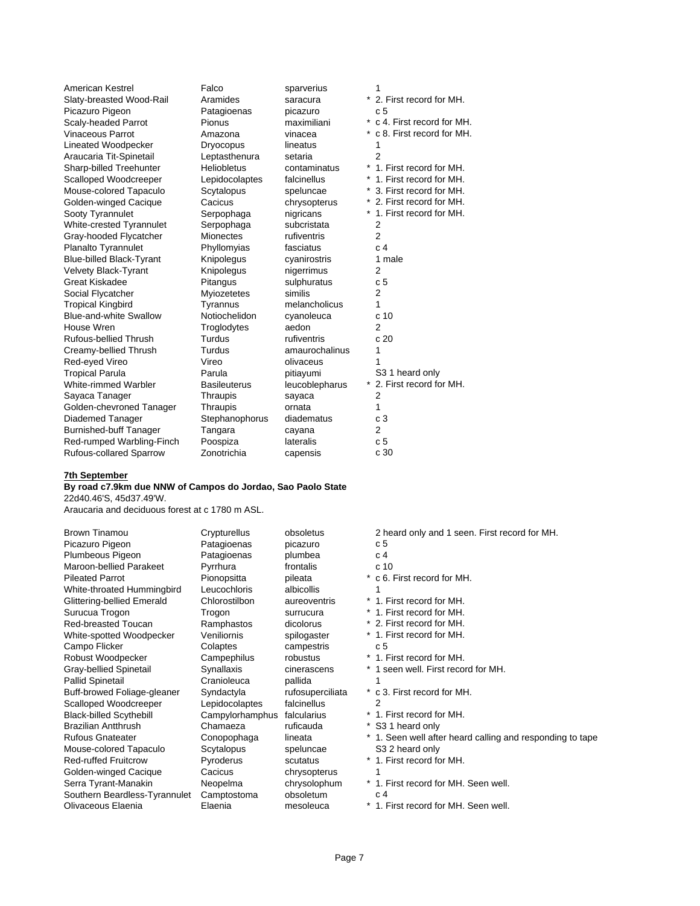| American Kestrel<br>Slaty-breasted Wood-Rail<br>Picazuro Pigeon<br>Scaly-headed Parrot<br>Vinaceous Parrot<br>Lineated Woodpecker<br>Araucaria Tit-Spinetail<br>Sharp-billed Treehunter<br>Scalloped Woodcreeper<br>Mouse-colored Tapaculo<br>Golden-winged Cacique<br>Sooty Tyrannulet<br>White-crested Tyrannulet<br>Gray-hooded Flycatcher<br>Planalto Tyrannulet<br><b>Blue-billed Black-Tyrant</b><br><b>Velvety Black-Tyrant</b><br>Great Kiskadee<br>Social Flycatcher<br><b>Tropical Kingbird</b><br>Blue-and-white Swallow<br>House Wren<br>Rufous-bellied Thrush<br>Creamy-bellied Thrush<br>Red-eyed Vireo<br><b>Tropical Parula</b><br>White-rimmed Warbler<br>Sayaca Tanager<br>Golden-chevroned Tanager<br>Diademed Tanager<br><b>Burnished-buff Tanager</b><br>Red-rumped Warbling-Finch | Falco<br>Aramides<br>Patagioenas<br>Pionus<br>Amazona<br><b>Dryocopus</b><br>Leptasthenura<br><b>Heliobletus</b><br>Lepidocolaptes<br>Scytalopus<br>Cacicus<br>Serpophaga<br>Serpophaga<br><b>Mionectes</b><br>Phyllomyias<br>Knipolegus<br>Knipolegus<br>Pitangus<br>Myiozetetes<br>Tyrannus<br>Notiochelidon<br>Troglodytes<br>Turdus<br>Turdus<br>Vireo<br>Parula<br><b>Basileuterus</b><br>Thraupis<br>Thraupis<br>Stephanophorus<br>Tangara<br>Poospiza | sparverius<br>saracura<br>picazuro<br>maximiliani<br>vinacea<br>lineatus<br>setaria<br>contaminatus<br>falcinellus<br>speluncae<br>chrysopterus<br>nigricans<br>subcristata<br>rufiventris<br>fasciatus<br>cyanirostris<br>nigerrimus<br>sulphuratus<br>similis<br>melancholicus<br>cyanoleuca<br>aedon<br>rufiventris<br>amaurochalinus<br>olivaceus<br>pitiayumi<br>leucoblepharus<br>sayaca<br>ornata<br>diadematus<br>cayana<br>lateralis | 1<br>2. First record for MH.<br>c <sub>5</sub><br>* c 4. First record for MH.<br>* c 8. First record for MH.<br>1<br>$\overline{2}$<br>* 1. First record for MH.<br>1. First record for MH.<br>3. First record for MH.<br>2. First record for MH.<br>* 1. First record for MH.<br>$\overline{2}$<br>$\overline{2}$<br>c.4<br>1 male<br>2<br>c <sub>5</sub><br>2<br>1<br>c <sub>10</sub><br>$\overline{2}$<br>c20<br>1<br>S3 1 heard only<br>* 2. First record for MH.<br>2<br>1<br>c <sub>3</sub><br>2<br>c 5 |
|---------------------------------------------------------------------------------------------------------------------------------------------------------------------------------------------------------------------------------------------------------------------------------------------------------------------------------------------------------------------------------------------------------------------------------------------------------------------------------------------------------------------------------------------------------------------------------------------------------------------------------------------------------------------------------------------------------------------------------------------------------------------------------------------------------|--------------------------------------------------------------------------------------------------------------------------------------------------------------------------------------------------------------------------------------------------------------------------------------------------------------------------------------------------------------------------------------------------------------------------------------------------------------|-----------------------------------------------------------------------------------------------------------------------------------------------------------------------------------------------------------------------------------------------------------------------------------------------------------------------------------------------------------------------------------------------------------------------------------------------|---------------------------------------------------------------------------------------------------------------------------------------------------------------------------------------------------------------------------------------------------------------------------------------------------------------------------------------------------------------------------------------------------------------------------------------------------------------------------------------------------------------|
| <b>Rufous-collared Sparrow</b>                                                                                                                                                                                                                                                                                                                                                                                                                                                                                                                                                                                                                                                                                                                                                                          | Zonotrichia                                                                                                                                                                                                                                                                                                                                                                                                                                                  | capensis                                                                                                                                                                                                                                                                                                                                                                                                                                      | c 30                                                                                                                                                                                                                                                                                                                                                                                                                                                                                                          |

### **7th September**

### **By road c7.9km due NNW of Campos do Jordao, Sao Paolo State**

22d40.46'S, 45d37.49'W.

Araucaria and deciduous forest at c 1780 m ASL.

| <b>Brown Tinamou</b>              |
|-----------------------------------|
| Picazuro Pigeon                   |
| Plumbeous Pigeon                  |
| Maroon-bellied Parakeet           |
| <b>Pileated Parrot</b>            |
| White-throated Hummingbird        |
| <b>Glittering-bellied Emerald</b> |
| Surucua Trogon                    |
| Red-breasted Toucan               |
| White-spotted Woodpecker          |
| Campo Flicker                     |
| Robust Woodpecker                 |
| <b>Gray-bellied Spinetail</b>     |
| <b>Pallid Spinetail</b>           |
| Buff-browed Foliage-gleaner       |
| Scalloped Woodcreeper             |
| <b>Black-billed Scythebill</b>    |
| <b>Brazilian Antthrush</b>        |
| <b>Rufous Gnateater</b>           |
| Mouse-colored Tapaculo            |
| <b>Red-ruffed Fruitcrow</b>       |
| Golden-winged Cacique             |
| Serra Tyrant-Manakin              |
| Southern Beardless-Tyrannule      |
| Olivaceous Elaenia                |

Patagioenas picazuro c 5 Patagioenas plumbea c 4<br>Pyrrhura frontalis c 10 Pyrrhura<br>Pionopsitta Leucochloris albicollis 1 Colaptes campestris c 5 Cranioleuca pallida 1 Campylorhamphus falcularius<br>Chamaeza ruficauda Chamaeza ruficauda \* S3 1 heard only<br>
Conopophaga lineata \* 1. Seen well after Scytalopus speluncae S3 2 heard only Cacicus chrysopterus 1 et Camptostoma obsoletum c 4<br>Elaenia mesoleuca \* 1. F

Crypturellus obsoletus 2 heard only and 1 seen. First record for MH. pileata \* c 6. First record for MH. Chlorostilbon aureoventris \* 1. First record for MH. Trogon surrucura \* 1. First record for MH. Ramphastos dicolorus \* 2. First record for MH.<br>Veniliornis spilogaster \* 1. First record for MH. \* 1. First record for MH. Campephilus robustus \* 1. First record for MH. Synallaxis cinerascens \* 1 seen well. First record for MH.<br>Cranioleuca pallida 1 Syndactyla rufosuperciliata \* c 3. First record for MH. Lepidocolaptes falcinellus 2<br>
Campylorhamphus falcularius \* 1. First record for MH. lineata **\* 1. Seen well after heard calling and responding to tape** Pyroderus scutatus \* 1. First record for MH. Neopelma chrysolophum \* 1. First record for MH. Seen well. mesoleuca \* 1. First record for MH. Seen well.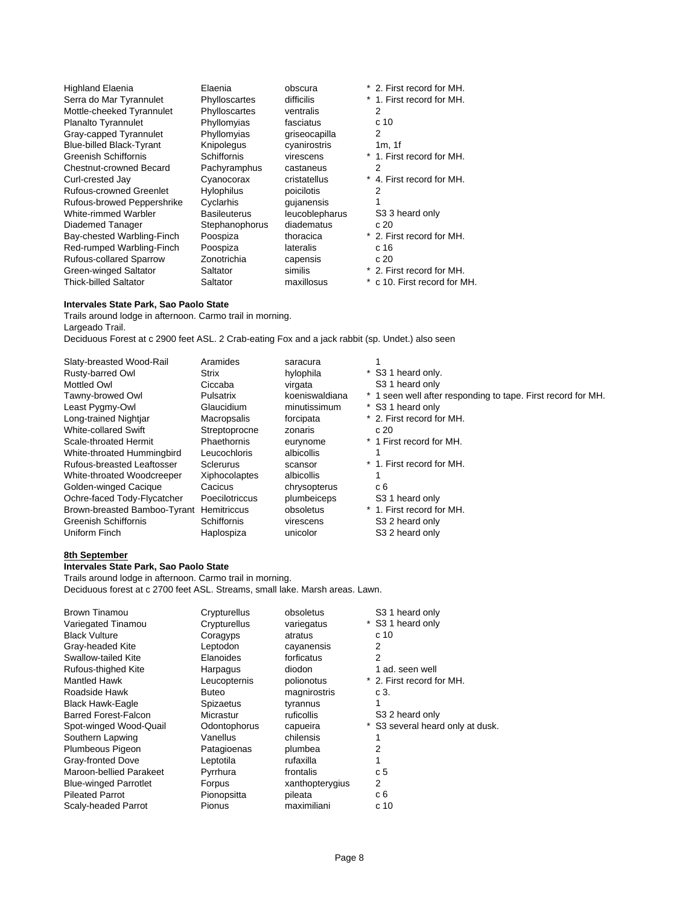| <b>Highland Elaenia</b><br>Serra do Mar Tyrannulet<br>Mottle-cheeked Tyrannulet<br>Planalto Tyrannulet<br>Gray-capped Tyrannulet<br><b>Blue-billed Black-Tyrant</b><br>Greenish Schiffornis<br>Chestnut-crowned Becard<br>Curl-crested Jay<br>Rufous-crowned Greenlet<br>Rufous-browed Peppershrike<br>White-rimmed Warbler<br>Diademed Tanager<br>Bay-chested Warbling-Finch | Elaenia<br>Phylloscartes<br>Phylloscartes<br>Phyllomyias<br>Phyllomyias<br>Knipolegus<br>Schiffornis<br>Pachyramphus<br>Cyanocorax<br><b>Hylophilus</b><br>Cyclarhis<br><b>Basileuterus</b><br>Stephanophorus<br>Poospiza | obscura<br>difficilis<br>ventralis<br>fasciatus<br>griseocapilla<br>cyanirostris<br>virescens<br>castaneus<br>cristatellus<br>poicilotis<br>qujanensis<br>leucoblepharus<br>diadematus<br>thoracica | * 2. First record for MH.<br>* 1. First record for MH.<br>2<br>c <sub>10</sub><br>2<br>1m.1f<br>* 1. First record for MH.<br>2<br>* 4. First record for MH.<br>2<br>S3 3 heard only<br>c.20<br>* 2. First record for MH. |
|-------------------------------------------------------------------------------------------------------------------------------------------------------------------------------------------------------------------------------------------------------------------------------------------------------------------------------------------------------------------------------|---------------------------------------------------------------------------------------------------------------------------------------------------------------------------------------------------------------------------|-----------------------------------------------------------------------------------------------------------------------------------------------------------------------------------------------------|--------------------------------------------------------------------------------------------------------------------------------------------------------------------------------------------------------------------------|
|                                                                                                                                                                                                                                                                                                                                                                               |                                                                                                                                                                                                                           |                                                                                                                                                                                                     |                                                                                                                                                                                                                          |
|                                                                                                                                                                                                                                                                                                                                                                               |                                                                                                                                                                                                                           |                                                                                                                                                                                                     |                                                                                                                                                                                                                          |
| Red-rumped Warbling-Finch                                                                                                                                                                                                                                                                                                                                                     | Poospiza                                                                                                                                                                                                                  | lateralis                                                                                                                                                                                           | c 16                                                                                                                                                                                                                     |
| Rufous-collared Sparrow                                                                                                                                                                                                                                                                                                                                                       | Zonotrichia                                                                                                                                                                                                               | capensis                                                                                                                                                                                            | c20                                                                                                                                                                                                                      |
| Green-winged Saltator                                                                                                                                                                                                                                                                                                                                                         | Saltator                                                                                                                                                                                                                  | similis                                                                                                                                                                                             | * 2. First record for MH.                                                                                                                                                                                                |
| <b>Thick-billed Saltator</b>                                                                                                                                                                                                                                                                                                                                                  | Saltator                                                                                                                                                                                                                  | maxillosus                                                                                                                                                                                          | * c 10. First record for MH.                                                                                                                                                                                             |

### **Intervales State Park, Sao Paolo State**

Trails around lodge in afternoon. Carmo trail in morning. Largeado Trail. Deciduous Forest at c 2900 feet ASL. 2 Crab-eating Fox and a jack rabbit (sp. Undet.) also seen

| Slaty-breasted Wood-Rail     | Aramides           | saracura       |                                                              |
|------------------------------|--------------------|----------------|--------------------------------------------------------------|
| Rusty-barred Owl             | Strix              | hylophila      | * S3 1 heard only.                                           |
| Mottled Owl                  | Ciccaba            | virgata        | S3 1 heard only                                              |
| Tawny-browed Owl             | Pulsatrix          | koeniswaldiana | * 1 seen well after responding to tape. First record for MH. |
| Least Pygmy-Owl              | Glaucidium         | minutissimum   | * S3 1 heard only                                            |
| Long-trained Nightjar        | Macropsalis        | forcipata      | * 2. First record for MH.                                    |
| White-collared Swift         | Streptoprocne      | zonaris        | c 20                                                         |
| Scale-throated Hermit        | Phaethornis        | eurynome       | * 1 First record for MH.                                     |
| White-throated Hummingbird   | Leucochloris       | albicollis     |                                                              |
| Rufous-breasted Leaftosser   | Sclerurus          | scansor        | * 1. First record for MH.                                    |
| White-throated Woodcreeper   | Xiphocolaptes      | albicollis     |                                                              |
| Golden-winged Cacique        | Cacicus            | chrysopterus   | c 6                                                          |
| Ochre-faced Tody-Flycatcher  | Poecilotriccus     | plumbeiceps    | S <sub>3</sub> 1 heard only                                  |
| Brown-breasted Bamboo-Tyrant | <b>Hemitriccus</b> | obsoletus      | * 1. First record for MH.                                    |
| Greenish Schiffornis         | Schiffornis        | virescens      | S <sub>3</sub> 2 heard only                                  |
| Uniform Finch                | Haplospiza         | unicolor       | S3 2 heard only                                              |
|                              |                    |                |                                                              |

### **8th September**

## **Intervales State Park, Sao Paolo State**

Trails around lodge in afternoon. Carmo trail in morning. Deciduous forest at c 2700 feet ASL. Streams, small lake. Marsh areas. Lawn.

| Brown Tinamou                | Crypturellus  | obsoletus       | S <sub>3</sub> 1 heard only      |
|------------------------------|---------------|-----------------|----------------------------------|
| Variegated Tinamou           | Crypturellus  | variegatus      | * S3 1 heard only                |
| <b>Black Vulture</b>         | Coragyps      | atratus         | c <sub>10</sub>                  |
| Gray-headed Kite             | Leptodon      | cayanensis      | 2                                |
| Swallow-tailed Kite          | Elanoides     | forficatus      | 2                                |
| Rufous-thighed Kite          | Harpagus      | diodon          | 1 ad. seen well                  |
| Mantled Hawk                 | Leucopternis  | polionotus      | * 2. First record for MH.        |
| Roadside Hawk                | <b>Buteo</b>  | magnirostris    | c 3.                             |
| Black Hawk-Eagle             | Spizaetus     | tyrannus        |                                  |
| Barred Forest-Falcon         | Micrastur     | ruficollis      | S3 2 heard only                  |
| Spot-winged Wood-Quail       | Odontophorus  | capueira        | * S3 several heard only at dusk. |
| Southern Lapwing             | Vanellus      | chilensis       |                                  |
| Plumbeous Pigeon             | Patagioenas   | plumbea         | 2                                |
| Gray-fronted Dove            | Leptotila     | rufaxilla       |                                  |
| Maroon-bellied Parakeet      | Pyrrhura      | frontalis       | c 5                              |
| <b>Blue-winged Parrotlet</b> | Forpus        | xanthopterygius | 2                                |
| <b>Pileated Parrot</b>       | Pionopsitta   | pileata         | c 6                              |
| Scaly-headed Parrot          | <b>Pionus</b> | maximiliani     | c <sub>10</sub>                  |
|                              |               |                 |                                  |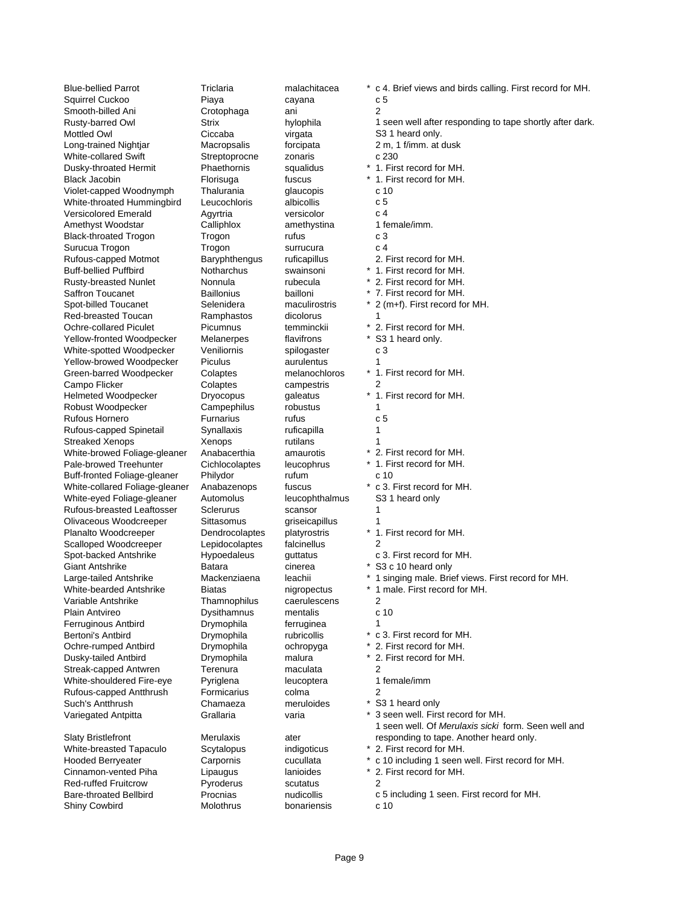Squirrel Cuckoo Piaya cayana c 5 Smooth-billed Ani **Crotophaga** ani 2 Mottled Owl **Ciccaba** virgata S3 1 heard only. Long-trained Nightjar Macropsalis forcipata 2 m, 1 f/imm. at dusk White-collared Swift **Streptoprocne** zonaris c 230 Dusky-throated Hermit Phaethornis squalidus \* 1. First record for MH. Black Jacobin **Florisuga** fuscus \* 1. First record for MH. Violet-capped Woodnymph Thalurania glaucopis c 10<br>
White-throated Hummingbird Leucochloris albicollis c 5 White-throated Hummingbird Leucochloris albicollis Versicolored Emerald Agyrtria versicolor c 4 Amethyst Woodstar **Calliphlox** amethystina 1 female/imm. Black-throated Trogon Trogon Trogon rufus c 3 Surucua Trogon Trogon Surrucura c 4 Rufous-capped Motmot Baryphthengus ruficapillus 2. First record for MH. Buff-bellied Puffbird **Notharchus** swainsoni \* 1. First record for MH.<br>Rusty-breasted Nunlet Nonnula **Notharchus** rubecula \* 2. First record for MH. Saffron Toucanet **Baillonius** baillonius bailloni \* 7. First record for MH. Spot-billed Toucanet Selenidera maculirostris \* 2 (m+f). First record for MH. Red-breasted Toucan Ramphastos dicolorus 1<br>
Ochre-collared Piculet Picumnus temminckii \* 2. First record for MH. Ochre-collared Piculet Picumnus temminckii Yellow-fronted Woodpecker Melanerpes flavifrons \* S3 1 heard only. White-spotted Woodpecker Veniliornis spilogaster c 3 Yellow-browed Woodpecker Piculus aurulentus 1<br>
Green-barred Woodpecker Colaptes melanochloros \* 1. First record for MH. Green-barred Woodpecker Colaptes melanochloros Campo Flicker **Colaptes** Colaptes campestris 2<br>
Helmeted Woodpecker **Colaptes** Cryocopus appleatus \* 1. First record for MH. Helmeted Woodpecker **Dryocopus galeatus** Robust Woodpecker Campephilus robustus 1 Rufous Hornero **Furnarius** rufus c 5 Rufous-capped Spinetail Synallaxis ruficapilla 1 Streaked Xenops **Xenops** White-browed Foliage-gleaner Anabacerthia amaurotis \* 2. First record for MH. Pale-browed Treehunter Cichlocolaptes leucophrus \* 1. First record for MH. Buff-fronted Foliage-gleaner Philydor rufum c 10<br>
White-collared Foliage-gleaner Anabazenops fuscus \* c 3. First record for MH. White-collared Foliage-gleaner Anabazenops fuscus White-eyed Foliage-gleaner Automolus leucophthalmus S3 1 heard only Rufous-breasted Leaftosser Sclerurus scansor 1<br>
Olivaceous Woodcreeper Sittasomus ariseicapillus 1 Olivaceous Woodcreeper Sittasomus griseicapillus 1 Planalto Woodcreeper **Dendrocolaptes** platyrostris \* 1. First record for MH. Scalloped Woodcreeper Lepidocolaptes falcinellus 2 Spot-backed Antshrike Hypoedaleus guttatus c 3. First record for MH. Giant Antshrike **Batara** cinerea \* S3 c 10 heard only<br>
Large-tailed Antshrike Mackenziaena leachii \* 1 singing male. Bric White-bearded Antshrike Biatas nigropectus \* 1 male. First record for MH. Variable Antshrike Thamnophilus caerulescens 2 Plain Antvireo Dysithamnus mentalis c 10 Ferruginous Antbird **Drymophila** ferruginea 1 Bertoni's Antbird **Drymophila** rubricollis \* c 3. First record for MH. Ochre-rumped Antbird Drymophila ochropyga \* 2. First record for MH. Dusky-tailed Antbird Drymophila malura \* 2. First record for MH. Streak-capped Antwren Terenura maculata 2 White-shouldered Fire-eye Pyriglena leucoptera 1 female/imm Rufous-capped Antthrush Formicarius colma 2 Such's Antthrush Chamaeza meruloides \* S3 1 heard only

Slaty Bristlefront Merulaxis ater White-breasted Tapaculo Scytalopus indigoticus \* 2. First record for MH. Cinnamon-vented Piha Lipaugus lanioides \* 2. First record for MH. Red-ruffed Fruitcrow **Pyroderus** scutatus 2 Shiny Cowbird Molothrus bonariensis c 10

Blue-bellied Parrot Triclaria malachitacea \* c 4. Brief views and birds calling. First record for MH. Rusty-barred Owl Strix Strix hylophila 1 seen well after responding to tape shortly after dark.  $*$  2. First record for MH. Large-tailed Antshrike Mackenziaena leachii \* 1 singing male. Brief views. First record for MH. Variegated Antpitta **Grallaria** varia \* 3 seen well. First record for MH. 1 seen well. Of *Merulaxis sicki* form. Seen well and responding to tape. Another heard only. Hooded Berryeater **Carpornis** cucullata \* c 10 including 1 seen well. First record for MH. Bare-throated Bellbird Procnias nudicollis c 5 including 1 seen. First record for MH.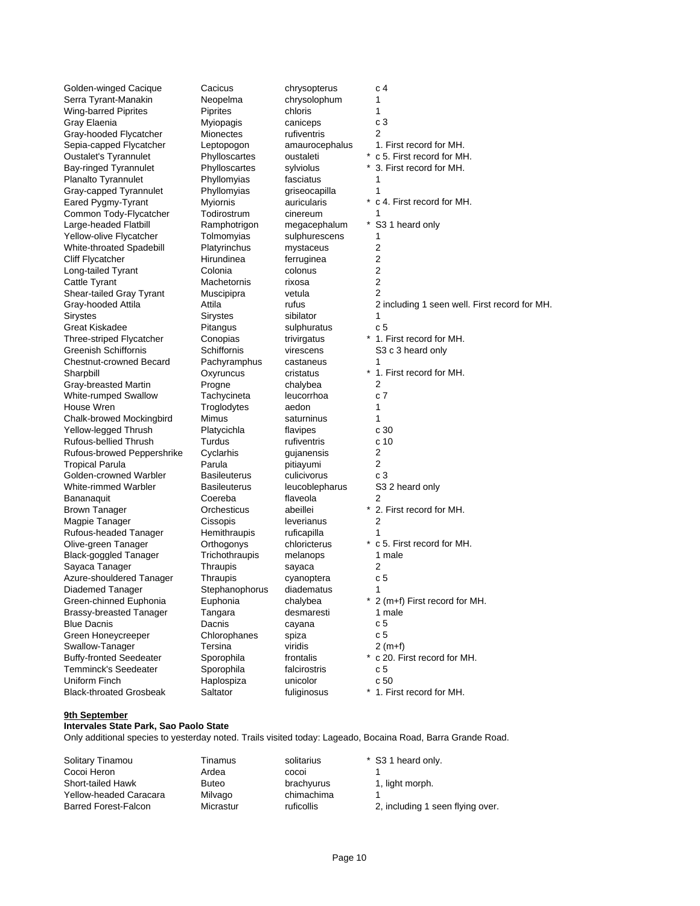Golden-winged Cacique Cacicus chrysopterus c 4 Serra Tyrant-Manakin Neopelma chrysolophum 1 Wing-barred Piprites Piprites Piprites chloris 1<br>Gray Elaenia Cancens C.3 Gray Elaenia **Myiopagis** caniceps Gray-hooded Flycatcher Mionectes rufiventris 2 Planalto Tyrannulet Phyllomyias fasciatus Gray-capped Tyrannulet Phyllomyias griseocapilla Large-headed Flatbill **Ramphotrigon** megacephalum Yellow-olive Flycatcher Tolmomyias sulphurescens 1 White-throated Spadebill Platyrinchus mystaceus 2 Cliff Flycatcher **Hirundinea** ferruginea 2 Long-tailed Tyrant Colonia Colonia colonus 2<br>
Cattle Tyrant Cattle Tyrant Machetornis rixosa 2 Cattle Tyrant Shear-tailed Gray Tyrant Muscipipra vetula 2 Sirystes Sirystes sibilator 1 Great Kiskadee **Pitangus** Sulphuratus Chestnut-crowned Becard Pachyramphus castaneus 1 Gray-breasted Martin Progne chalybea 2<br>
White-rumped Swallow Tachycineta leucorrhoa c White-rumped Swallow Tachycineta leucorrhoa c 7 House Wren Troglodytes aedon 1 Chalk-browed Mockingbird Mimus saturninus 1<br>
Yellow-legged Thrush Platycichla flavipes c 30 Yellow-legged Thrush Platycichla flavipes Rufous-bellied Thrush Turdus rufiventris c 10 Rufous-browed Peppershrike Cyclarhis gujanensis 2 Tropical Parula **Parula** Parula **Parula** Parula pitiayumi 2 Golden-crowned Warbler Basileuterus culicivorus c 3 Bananaquit Coereba flaveola 2 Magpie Tanager **Cissopis** Cissopis **Constants** 2 Rufous-headed Tanager Hemithraupis ruficapilla 1 Black-goggled Tanager Trichothraupis melanops 1 male Sayaca Tanager Thraupis sayaca 2 Azure-shouldered Tanager Thraupis cyanoptera c 5 Diademed Tanager Stephanophorus diadematus Brassy-breasted Tanager Tangara desmaresti 1 male Blue Dacnis **Dacnis** Dacnis **cayana** c 5 Green Honeycreeper Chlorophanes spiza c 5 Swallow-Tanager Tersina viridis 2 (m+f) Temminck's Seedeater Sporophila falcirostris communication communication communication communication communication communication communication communication communication communication communication communication communica Black-throated Grosbeak Saltator fuliginosus

Sepia-capped Flycatcher Leptopogon amaurocephalus 1. First record for MH. Oustalet's Tyrannulet Phylloscartes oustaleti \* c 5. First record for MH. Bay-ringed Tyrannulet Phylloscartes sylviolus \* 3. First record for MH. Eared Pygmy-Tyrant Myiornis auricularis \* c 4. First record for MH. Common Tody-Flycatcher Todirostrum cinereum 1<br>
Large-headed Flatbill Ramphotrigon megacephalum \* S31 heard only Gray-hooded Attila **Attila** Attila **Attila** and the rufus 2 including 1 seen well. First record for MH. Three-striped Flycatcher Conopias trivirgatus \* 1. First record for MH. Greenish Schiffornis Schiffornis Schiffornis virescens S3 c 3 heard only Sharpbill **Sharpbill** Oxyruncus cristatus \* 1. First record for MH. White-rimmed Warbler Basileuterus leucoblepharus S3 2 heard only Brown Tanager **Orchesticus** abeillei \* 2. First record for MH.<br>
Magpie Tanager Cissopis leverianus 2 Olive-green Tanager Orthogonys chloricterus \* c 5. First record for MH. Green-chinned Euphonia Euphonia Euphonia chalybea \* 2 (m+f) First record for MH. Buffy-fronted Seedeater Sporophila frontalis \* c 20. First record for MH. Haplospiza unicolor c 50<br>
Saltator fuliginosus \* 1. First record for MH.

#### **9th September**

#### **Intervales State Park, Sao Paolo State**

Only additional species to yesterday noted. Trails visited today: Lageado, Bocaina Road, Barra Grande Road.

| Solitary Tinamou       | Tinamus      | solitarius | * S3 1 heard only.               |
|------------------------|--------------|------------|----------------------------------|
| Cocoi Heron            | Ardea        | cocoi      |                                  |
| Short-tailed Hawk      | <b>Buteo</b> | brachyurus | 1, light morph.                  |
| Yellow-headed Caracara | Milvago      | chimachima |                                  |
| Barred Forest-Falcon   | Micrastur    | ruficollis | 2, including 1 seen flying over. |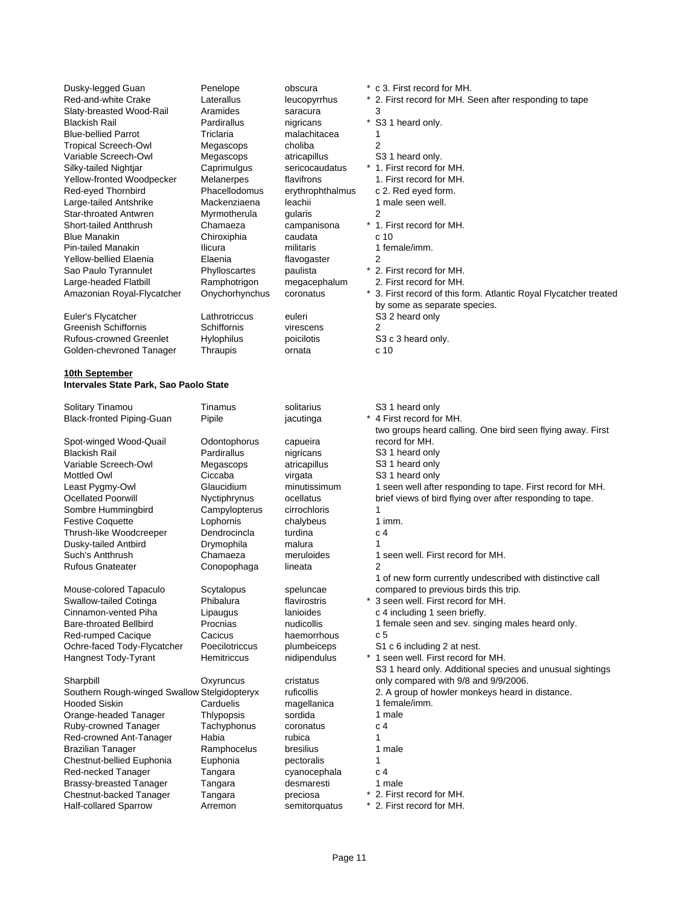| Dusky-legged Guan<br>Red-and-white Crake<br>Slaty-breasted Wood-Rail<br>Blackish Rail<br><b>Blue-bellied Parrot</b><br><b>Tropical Screech-Owl</b><br>Variable Screech-Owl<br>Silky-tailed Nightjar<br>Yellow-fronted Woodpecker<br>Red-eyed Thornbird<br>Large-tailed Antshrike<br>Star-throated Antwren<br>Short-tailed Antthrush<br><b>Blue Manakin</b><br>Pin-tailed Manakin<br>Yellow-bellied Elaenia<br>Sao Paulo Tyrannulet<br>Large-headed Flatbill<br>Amazonian Royal-Flycatcher<br>Euler's Flycatcher | Penelope<br>Laterallus<br>Aramides<br>Pardirallus<br>Triclaria<br>Megascops<br>Megascops<br>Caprimulgus<br>Melanerpes<br>Phacellodomus<br>Mackenziaena<br>Myrmotherula<br>Chamaeza<br>Chiroxiphia<br>Ilicura<br>Elaenia<br>Phylloscartes<br>Ramphotrigon<br>Onychorhynchus<br>Lathrotriccus | obscura<br>leucopyrrhus<br>saracura<br>nigricans<br>malachitacea<br>choliba<br>atricapillus<br>sericocaudatus<br>flavifrons<br>erythrophthalmus<br>leachii<br>gularis<br>campanisona<br>caudata<br>militaris<br>flavogaster<br>paulista<br>megacephalum<br>coronatus<br>euleri | * c 3. First record for MH.<br>* 2. First record for MH. Seen after responding to tape<br>3<br>* S3 1 heard only.<br>1<br>$\overline{2}$<br>S3 1 heard only.<br>* 1. First record for MH.<br>1. First record for MH.<br>c 2. Red eyed form.<br>1 male seen well.<br>$\overline{2}$<br>* 1. First record for MH.<br>c 10<br>1 female/imm.<br>2<br>* 2. First record for MH.<br>2. First record for MH.<br>* 3. First record of this form. Atlantic Royal Flycatcher treated<br>by some as separate species.<br>S3 2 heard only |
|-----------------------------------------------------------------------------------------------------------------------------------------------------------------------------------------------------------------------------------------------------------------------------------------------------------------------------------------------------------------------------------------------------------------------------------------------------------------------------------------------------------------|---------------------------------------------------------------------------------------------------------------------------------------------------------------------------------------------------------------------------------------------------------------------------------------------|--------------------------------------------------------------------------------------------------------------------------------------------------------------------------------------------------------------------------------------------------------------------------------|-------------------------------------------------------------------------------------------------------------------------------------------------------------------------------------------------------------------------------------------------------------------------------------------------------------------------------------------------------------------------------------------------------------------------------------------------------------------------------------------------------------------------------|
|                                                                                                                                                                                                                                                                                                                                                                                                                                                                                                                 |                                                                                                                                                                                                                                                                                             |                                                                                                                                                                                                                                                                                |                                                                                                                                                                                                                                                                                                                                                                                                                                                                                                                               |
| Greenish Schiffornis                                                                                                                                                                                                                                                                                                                                                                                                                                                                                            | Schiffornis                                                                                                                                                                                                                                                                                 | virescens                                                                                                                                                                                                                                                                      | 2                                                                                                                                                                                                                                                                                                                                                                                                                                                                                                                             |
| Rufous-crowned Greenlet                                                                                                                                                                                                                                                                                                                                                                                                                                                                                         | Hylophilus                                                                                                                                                                                                                                                                                  | poicilotis                                                                                                                                                                                                                                                                     | S3 c 3 heard only.                                                                                                                                                                                                                                                                                                                                                                                                                                                                                                            |
| Golden-chevroned Tanager                                                                                                                                                                                                                                                                                                                                                                                                                                                                                        | Thraupis                                                                                                                                                                                                                                                                                    | ornata                                                                                                                                                                                                                                                                         | c 10                                                                                                                                                                                                                                                                                                                                                                                                                                                                                                                          |
| 10th September                                                                                                                                                                                                                                                                                                                                                                                                                                                                                                  |                                                                                                                                                                                                                                                                                             |                                                                                                                                                                                                                                                                                |                                                                                                                                                                                                                                                                                                                                                                                                                                                                                                                               |
| Intervales State Park, Sao Paolo State                                                                                                                                                                                                                                                                                                                                                                                                                                                                          |                                                                                                                                                                                                                                                                                             |                                                                                                                                                                                                                                                                                |                                                                                                                                                                                                                                                                                                                                                                                                                                                                                                                               |
| Solitary Tinamou                                                                                                                                                                                                                                                                                                                                                                                                                                                                                                | Tinamus                                                                                                                                                                                                                                                                                     | solitarius                                                                                                                                                                                                                                                                     | S3 1 heard only                                                                                                                                                                                                                                                                                                                                                                                                                                                                                                               |
| <b>Black-fronted Piping-Guan</b>                                                                                                                                                                                                                                                                                                                                                                                                                                                                                | Pipile                                                                                                                                                                                                                                                                                      | jacutinga                                                                                                                                                                                                                                                                      | * 4 First record for MH.<br>two groups heard calling. One bird seen flying away. First                                                                                                                                                                                                                                                                                                                                                                                                                                        |
| Spot-winged Wood-Quail                                                                                                                                                                                                                                                                                                                                                                                                                                                                                          | Odontophorus                                                                                                                                                                                                                                                                                | capueira                                                                                                                                                                                                                                                                       | record for MH.                                                                                                                                                                                                                                                                                                                                                                                                                                                                                                                |
| Blackish Rail                                                                                                                                                                                                                                                                                                                                                                                                                                                                                                   | Pardirallus                                                                                                                                                                                                                                                                                 | nigricans                                                                                                                                                                                                                                                                      | S <sub>3</sub> 1 heard only                                                                                                                                                                                                                                                                                                                                                                                                                                                                                                   |
|                                                                                                                                                                                                                                                                                                                                                                                                                                                                                                                 |                                                                                                                                                                                                                                                                                             |                                                                                                                                                                                                                                                                                |                                                                                                                                                                                                                                                                                                                                                                                                                                                                                                                               |
| Variable Screech-Owl                                                                                                                                                                                                                                                                                                                                                                                                                                                                                            | Megascops<br>Ciccaba                                                                                                                                                                                                                                                                        | atricapillus                                                                                                                                                                                                                                                                   | S <sub>3</sub> 1 heard only                                                                                                                                                                                                                                                                                                                                                                                                                                                                                                   |
| <b>Mottled Owl</b>                                                                                                                                                                                                                                                                                                                                                                                                                                                                                              |                                                                                                                                                                                                                                                                                             | virgata                                                                                                                                                                                                                                                                        | S3 1 heard only                                                                                                                                                                                                                                                                                                                                                                                                                                                                                                               |
| Least Pygmy-Owl                                                                                                                                                                                                                                                                                                                                                                                                                                                                                                 | Glaucidium                                                                                                                                                                                                                                                                                  | minutissimum                                                                                                                                                                                                                                                                   | 1 seen well after responding to tape. First record for MH.                                                                                                                                                                                                                                                                                                                                                                                                                                                                    |
| Ocellated Poorwill                                                                                                                                                                                                                                                                                                                                                                                                                                                                                              | Nyctiphrynus                                                                                                                                                                                                                                                                                | ocellatus                                                                                                                                                                                                                                                                      | brief views of bird flying over after responding to tape.                                                                                                                                                                                                                                                                                                                                                                                                                                                                     |
| Sombre Hummingbird                                                                                                                                                                                                                                                                                                                                                                                                                                                                                              | Campylopterus                                                                                                                                                                                                                                                                               | cirrochloris                                                                                                                                                                                                                                                                   | 1                                                                                                                                                                                                                                                                                                                                                                                                                                                                                                                             |
| <b>Festive Coquette</b>                                                                                                                                                                                                                                                                                                                                                                                                                                                                                         | Lophornis                                                                                                                                                                                                                                                                                   | chalybeus                                                                                                                                                                                                                                                                      | 1 imm.                                                                                                                                                                                                                                                                                                                                                                                                                                                                                                                        |
| Thrush-like Woodcreeper                                                                                                                                                                                                                                                                                                                                                                                                                                                                                         | Dendrocincla                                                                                                                                                                                                                                                                                | turdina                                                                                                                                                                                                                                                                        | c <sub>4</sub>                                                                                                                                                                                                                                                                                                                                                                                                                                                                                                                |
| Dusky-tailed Antbird                                                                                                                                                                                                                                                                                                                                                                                                                                                                                            | Drymophila                                                                                                                                                                                                                                                                                  | malura                                                                                                                                                                                                                                                                         | 1                                                                                                                                                                                                                                                                                                                                                                                                                                                                                                                             |
| Such's Antthrush                                                                                                                                                                                                                                                                                                                                                                                                                                                                                                | Chamaeza                                                                                                                                                                                                                                                                                    | meruloides                                                                                                                                                                                                                                                                     | 1 seen well. First record for MH.                                                                                                                                                                                                                                                                                                                                                                                                                                                                                             |
| Rufous Gnateater                                                                                                                                                                                                                                                                                                                                                                                                                                                                                                | Conopophaga                                                                                                                                                                                                                                                                                 | lineata                                                                                                                                                                                                                                                                        | 2                                                                                                                                                                                                                                                                                                                                                                                                                                                                                                                             |
| Mouse-colored Tapaculo                                                                                                                                                                                                                                                                                                                                                                                                                                                                                          |                                                                                                                                                                                                                                                                                             |                                                                                                                                                                                                                                                                                | 1 of new form currently undescribed with distinctive call                                                                                                                                                                                                                                                                                                                                                                                                                                                                     |
|                                                                                                                                                                                                                                                                                                                                                                                                                                                                                                                 | Scytalopus                                                                                                                                                                                                                                                                                  | speluncae                                                                                                                                                                                                                                                                      | compared to previous birds this trip.<br>* 3 seen well. First record for MH.                                                                                                                                                                                                                                                                                                                                                                                                                                                  |
| Swallow-tailed Cotinga                                                                                                                                                                                                                                                                                                                                                                                                                                                                                          | Phibalura                                                                                                                                                                                                                                                                                   | flavirostris                                                                                                                                                                                                                                                                   |                                                                                                                                                                                                                                                                                                                                                                                                                                                                                                                               |
| Cinnamon-vented Piha                                                                                                                                                                                                                                                                                                                                                                                                                                                                                            | Lipaugus                                                                                                                                                                                                                                                                                    | lanioides                                                                                                                                                                                                                                                                      | c 4 including 1 seen briefly.                                                                                                                                                                                                                                                                                                                                                                                                                                                                                                 |
| Bare-throated Bellbird                                                                                                                                                                                                                                                                                                                                                                                                                                                                                          | Procnias                                                                                                                                                                                                                                                                                    | nudicollis                                                                                                                                                                                                                                                                     | 1 female seen and sev. singing males heard only.                                                                                                                                                                                                                                                                                                                                                                                                                                                                              |
| Red-rumped Cacique                                                                                                                                                                                                                                                                                                                                                                                                                                                                                              | Cacicus                                                                                                                                                                                                                                                                                     | haemorrhous                                                                                                                                                                                                                                                                    | c 5                                                                                                                                                                                                                                                                                                                                                                                                                                                                                                                           |
| Ochre-faced Tody-Flycatcher                                                                                                                                                                                                                                                                                                                                                                                                                                                                                     | Poecilotriccus                                                                                                                                                                                                                                                                              | plumbeiceps                                                                                                                                                                                                                                                                    | S1 c 6 including 2 at nest.                                                                                                                                                                                                                                                                                                                                                                                                                                                                                                   |
| Hangnest Tody-Tyrant                                                                                                                                                                                                                                                                                                                                                                                                                                                                                            | Hemitriccus                                                                                                                                                                                                                                                                                 | nidipendulus                                                                                                                                                                                                                                                                   | * 1 seen well. First record for MH.<br>S3 1 heard only. Additional species and unusual sightings                                                                                                                                                                                                                                                                                                                                                                                                                              |
| Sharpbill                                                                                                                                                                                                                                                                                                                                                                                                                                                                                                       | Oxyruncus                                                                                                                                                                                                                                                                                   | cristatus                                                                                                                                                                                                                                                                      | only compared with 9/8 and 9/9/2006.                                                                                                                                                                                                                                                                                                                                                                                                                                                                                          |
| Southern Rough-winged Swallow Stelgidopteryx                                                                                                                                                                                                                                                                                                                                                                                                                                                                    |                                                                                                                                                                                                                                                                                             | ruficollis                                                                                                                                                                                                                                                                     | 2. A group of howler monkeys heard in distance.                                                                                                                                                                                                                                                                                                                                                                                                                                                                               |
| Hooded Siskin                                                                                                                                                                                                                                                                                                                                                                                                                                                                                                   | Carduelis                                                                                                                                                                                                                                                                                   | magellanica                                                                                                                                                                                                                                                                    | 1 female/imm.                                                                                                                                                                                                                                                                                                                                                                                                                                                                                                                 |
| Orange-headed Tanager                                                                                                                                                                                                                                                                                                                                                                                                                                                                                           | Thlypopsis                                                                                                                                                                                                                                                                                  | sordida                                                                                                                                                                                                                                                                        | 1 male                                                                                                                                                                                                                                                                                                                                                                                                                                                                                                                        |
| Ruby-crowned Tanager                                                                                                                                                                                                                                                                                                                                                                                                                                                                                            | Tachyphonus                                                                                                                                                                                                                                                                                 | coronatus                                                                                                                                                                                                                                                                      | c 4                                                                                                                                                                                                                                                                                                                                                                                                                                                                                                                           |
| Red-crowned Ant-Tanager                                                                                                                                                                                                                                                                                                                                                                                                                                                                                         | Habia                                                                                                                                                                                                                                                                                       | rubica                                                                                                                                                                                                                                                                         | 1                                                                                                                                                                                                                                                                                                                                                                                                                                                                                                                             |
| <b>Brazilian Tanager</b>                                                                                                                                                                                                                                                                                                                                                                                                                                                                                        | Ramphocelus                                                                                                                                                                                                                                                                                 | bresilius                                                                                                                                                                                                                                                                      | 1 male                                                                                                                                                                                                                                                                                                                                                                                                                                                                                                                        |
| Chestnut-bellied Euphonia                                                                                                                                                                                                                                                                                                                                                                                                                                                                                       | Euphonia                                                                                                                                                                                                                                                                                    | pectoralis                                                                                                                                                                                                                                                                     | 1                                                                                                                                                                                                                                                                                                                                                                                                                                                                                                                             |
| Red-necked Tanager                                                                                                                                                                                                                                                                                                                                                                                                                                                                                              | Tangara                                                                                                                                                                                                                                                                                     | cyanocephala                                                                                                                                                                                                                                                                   | c 4                                                                                                                                                                                                                                                                                                                                                                                                                                                                                                                           |
| <b>Brassy-breasted Tanager</b>                                                                                                                                                                                                                                                                                                                                                                                                                                                                                  | Tangara                                                                                                                                                                                                                                                                                     | desmaresti                                                                                                                                                                                                                                                                     | 1 male                                                                                                                                                                                                                                                                                                                                                                                                                                                                                                                        |
| Chestnut-backed Tanager                                                                                                                                                                                                                                                                                                                                                                                                                                                                                         | Tangara                                                                                                                                                                                                                                                                                     | preciosa                                                                                                                                                                                                                                                                       | 2. First record for MH.                                                                                                                                                                                                                                                                                                                                                                                                                                                                                                       |
| <b>Half-collared Sparrow</b>                                                                                                                                                                                                                                                                                                                                                                                                                                                                                    | Arremon                                                                                                                                                                                                                                                                                     | semitorquatus                                                                                                                                                                                                                                                                  | * 2. First record for MH.                                                                                                                                                                                                                                                                                                                                                                                                                                                                                                     |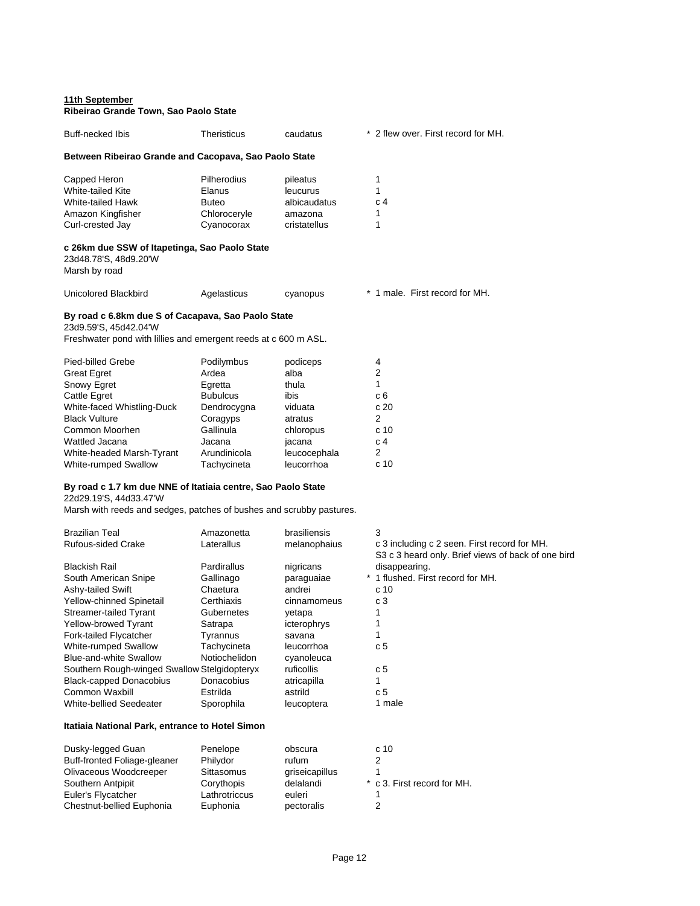### **11th September Ribeirao Grande Town, Sao Paolo State**

| Buff-necked Ibis                                                                                                                                                                                                             | <b>Theristicus</b>                                                                                                                 | caudatus                                                                                                     | * 2 flew over. First record for MH.                                                            |
|------------------------------------------------------------------------------------------------------------------------------------------------------------------------------------------------------------------------------|------------------------------------------------------------------------------------------------------------------------------------|--------------------------------------------------------------------------------------------------------------|------------------------------------------------------------------------------------------------|
| Between Ribeirao Grande and Cacopava, Sao Paolo State                                                                                                                                                                        |                                                                                                                                    |                                                                                                              |                                                                                                |
| Capped Heron<br>White-tailed Kite<br>White-tailed Hawk<br>Amazon Kingfisher<br>Curl-crested Jay                                                                                                                              | Pilherodius<br>Elanus<br><b>Buteo</b><br>Chloroceryle<br>Cyanocorax                                                                | pileatus<br>leucurus<br>albicaudatus<br>amazona<br>cristatellus                                              | 1<br>1<br>c <sub>4</sub><br>1<br>1                                                             |
| c 26km due SSW of Itapetinga, Sao Paolo State<br>23d48.78'S, 48d9.20'W<br>Marsh by road                                                                                                                                      |                                                                                                                                    |                                                                                                              |                                                                                                |
| Unicolored Blackbird                                                                                                                                                                                                         | Agelasticus                                                                                                                        | cyanopus                                                                                                     | * 1 male. First record for MH.                                                                 |
| By road c 6.8km due S of Cacapava, Sao Paolo State<br>23d9.59'S, 45d42.04'W<br>Freshwater pond with lillies and emergent reeds at c 600 m ASL.                                                                               |                                                                                                                                    |                                                                                                              |                                                                                                |
| Pied-billed Grebe<br><b>Great Egret</b><br><b>Snowy Egret</b><br>Cattle Egret<br>White-faced Whistling-Duck<br><b>Black Vulture</b><br>Common Moorhen<br>Wattled Jacana<br>White-headed Marsh-Tyrant<br>White-rumped Swallow | Podilymbus<br>Ardea<br>Egretta<br><b>Bubulcus</b><br>Dendrocygna<br>Coragyps<br>Gallinula<br>Jacana<br>Arundinicola<br>Tachycineta | podiceps<br>alba<br>thula<br>ibis<br>viduata<br>atratus<br>chloropus<br>jacana<br>leucocephala<br>leucorrhoa | 4<br>$\overline{2}$<br>1<br>c 6<br>c 20<br>2<br>c <sub>10</sub><br>c 4<br>2<br>c <sub>10</sub> |
| By road c 1.7 km due NNE of Itatiaia centre, Sao Paolo State<br>22d29.19'S, 44d33.47'W                                                                                                                                       |                                                                                                                                    |                                                                                                              |                                                                                                |

Marsh with reeds and sedges, patches of bushes and scrubby pastures.

| <b>Brazilian Teal</b>                        | Amazonetta    | brasiliensis | 3                                                                                                  |
|----------------------------------------------|---------------|--------------|----------------------------------------------------------------------------------------------------|
| <b>Rufous-sided Crake</b>                    | Laterallus    | melanophaius | c 3 including c 2 seen. First record for MH.<br>S3 c 3 heard only. Brief views of back of one bird |
| Blackish Rail                                | Pardirallus   | nigricans    | disappearing.                                                                                      |
| South American Snipe                         | Gallinago     | paraguaiae   | * 1 flushed. First record for MH.                                                                  |
| Ashy-tailed Swift                            | Chaetura      | andrei       | c <sub>10</sub>                                                                                    |
| Yellow-chinned Spinetail                     | Certhiaxis    | cinnamomeus  | c 3                                                                                                |
| Streamer-tailed Tyrant                       | Gubernetes    | vetapa       |                                                                                                    |
| <b>Yellow-browed Tyrant</b>                  | Satrapa       | icterophrys  |                                                                                                    |
| Fork-tailed Flycatcher                       | Tyrannus      | savana       |                                                                                                    |
| White-rumped Swallow                         | Tachycineta   | leucorrhoa   | c 5                                                                                                |
| Blue-and-white Swallow                       | Notiochelidon | cyanoleuca   |                                                                                                    |
| Southern Rough-winged Swallow Stelgidopteryx |               | ruficollis   | c 5                                                                                                |
| <b>Black-capped Donacobius</b>               | Donacobius    | atricapilla  |                                                                                                    |
| Common Waxbill                               | Estrilda      | astrild      | c 5                                                                                                |
| White-bellied Seedeater                      | Sporophila    | leucoptera   | 1 male                                                                                             |

# **Itatiaia National Park, entrance to Hotel Simon**

| Dusky-legged Guan            | Penelope      | obscura        | c 10                        |
|------------------------------|---------------|----------------|-----------------------------|
| Buff-fronted Foliage-gleaner | Philydor      | rufum          |                             |
| Olivaceous Woodcreeper       | Sittasomus    | griseicapillus |                             |
| Southern Antpipit            | Corythopis    | delalandi      | * c 3. First record for MH. |
| Euler's Flycatcher           | Lathrotriccus | euleri         |                             |
| Chestnut-bellied Euphonia    | Euphonia      | pectoralis     |                             |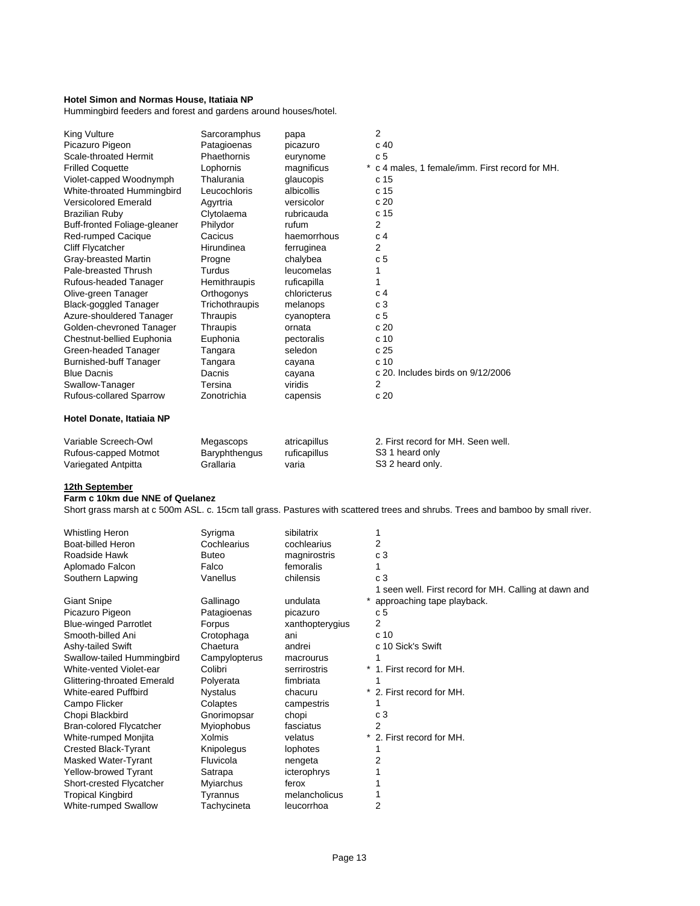### **Hotel Simon and Normas House, Itatiaia NP**

Hummingbird feeders and forest and gardens around houses/hotel.

| King Vulture                  | Sarcoramphus      | papa            | 2                                             |
|-------------------------------|-------------------|-----------------|-----------------------------------------------|
| Picazuro Pigeon               | Patagioenas       | picazuro        | c 40                                          |
| Scale-throated Hermit         | Phaethornis       | eurynome        | c <sub>5</sub>                                |
| <b>Frilled Coquette</b>       | Lophornis         | magnificus<br>* | c 4 males, 1 female/imm. First record for MH. |
| Violet-capped Woodnymph       | Thalurania        | glaucopis       | c 15                                          |
| White-throated Hummingbird    | Leucochloris      | albicollis      | c <sub>15</sub>                               |
| <b>Versicolored Emerald</b>   | Agyrtria          | versicolor      | c20                                           |
| <b>Brazilian Ruby</b>         | Clytolaema        | rubricauda      | c 15                                          |
| Buff-fronted Foliage-gleaner  | Philydor          | rufum           | 2                                             |
| Red-rumped Cacique            | Cacicus           | haemorrhous     | C <sub>4</sub>                                |
| Cliff Flycatcher              | <b>Hirundinea</b> | ferruginea      | 2                                             |
| Gray-breasted Martin          | Progne            | chalybea        | c 5                                           |
| Pale-breasted Thrush          | Turdus            | leucomelas      |                                               |
| Rufous-headed Tanager         | Hemithraupis      | ruficapilla     |                                               |
| Olive-green Tanager           | Orthogonys        | chloricterus    | C <sub>4</sub>                                |
| <b>Black-goggled Tanager</b>  | Trichothraupis    | melanops        | c <sub>3</sub>                                |
| Azure-shouldered Tanager      | Thraupis          | cyanoptera      | c 5                                           |
| Golden-chevroned Tanager      | Thraupis          | ornata          | c20                                           |
| Chestnut-bellied Euphonia     | Euphonia          | pectoralis      | c 10                                          |
| Green-headed Tanager          | Tangara           | seledon         | c <sub>25</sub>                               |
| <b>Burnished-buff Tanager</b> | Tangara           | cayana          | c <sub>10</sub>                               |
| <b>Blue Dacnis</b>            | Dacnis            | cayana          | c 20. Includes birds on 9/12/2006             |
| Swallow-Tanager               | Tersina           | viridis         | $\overline{2}$                                |
| Rufous-collared Sparrow       | Zonotrichia       | capensis        | c 20                                          |
| Hotel Donate, Itatiaia NP     |                   |                 |                                               |

| Variable Screech-Owl | Megascops     | atricapillus | 2. First record for MH, Seen well. |
|----------------------|---------------|--------------|------------------------------------|
| Rufous-capped Motmot | Baryphthengus | ruficapillus | S3 1 heard only                    |
| Variegated Antpitta  | Grallaria     | varıa        | S3 2 heard only.                   |

#### **12th September**

#### **Farm c 10km due NNE of Quelanez**

Short grass marsh at c 500m ASL. c. 15cm tall grass. Pastures with scattered trees and shrubs. Trees and bamboo by small river.

| <b>Whistling Heron</b>         | Syrigma           | sibilatrix      |                                                       |
|--------------------------------|-------------------|-----------------|-------------------------------------------------------|
| Boat-billed Heron              | Cochlearius       | cochlearius     | 2                                                     |
| Roadside Hawk                  | <b>Buteo</b>      | magnirostris    | c <sub>3</sub>                                        |
| Aplomado Falcon                | Falco             | femoralis       |                                                       |
| Southern Lapwing               | Vanellus          | chilensis       | c <sub>3</sub>                                        |
|                                |                   |                 | 1 seen well. First record for MH. Calling at dawn and |
| <b>Giant Snipe</b>             | Gallinago         | undulata        | * approaching tape playback.                          |
| Picazuro Pigeon                | Patagioenas       | picazuro        | c 5                                                   |
| <b>Blue-winged Parrotlet</b>   | Forpus            | xanthopterygius | 2                                                     |
| Smooth-billed Ani              | Crotophaga        | ani             | c <sub>10</sub>                                       |
| Ashy-tailed Swift              | Chaetura          | andrei          | c 10 Sick's Swift                                     |
| Swallow-tailed Hummingbird     | Campylopterus     | macrourus       |                                                       |
| White-vented Violet-ear        | Colibri           | serrirostris    | * 1. First record for MH.                             |
| Glittering-throated Emerald    | Polyerata         | fimbriata       |                                                       |
| White-eared Puffbird           | <b>Nystalus</b>   | chacuru         | 2. First record for MH.                               |
| Campo Flicker                  | Colaptes          | campestris      |                                                       |
| Chopi Blackbird                | Gnorimopsar       | chopi           | c 3                                                   |
| <b>Bran-colored Flycatcher</b> | <b>Myiophobus</b> | fasciatus       | 2                                                     |
| White-rumped Monjita           | <b>Xolmis</b>     | velatus         | * 2. First record for MH.                             |
| <b>Crested Black-Tyrant</b>    | Knipolegus        | lophotes        |                                                       |
| Masked Water-Tyrant            | Fluvicola         | nengeta         | 2                                                     |
| Yellow-browed Tyrant           | Satrapa           | icterophrys     |                                                       |
| Short-crested Flycatcher       | Myiarchus         | ferox           |                                                       |
| <b>Tropical Kingbird</b>       | Tyrannus          | melancholicus   |                                                       |
| <b>White-rumped Swallow</b>    | Tachycineta       | leucorrhoa      | 2                                                     |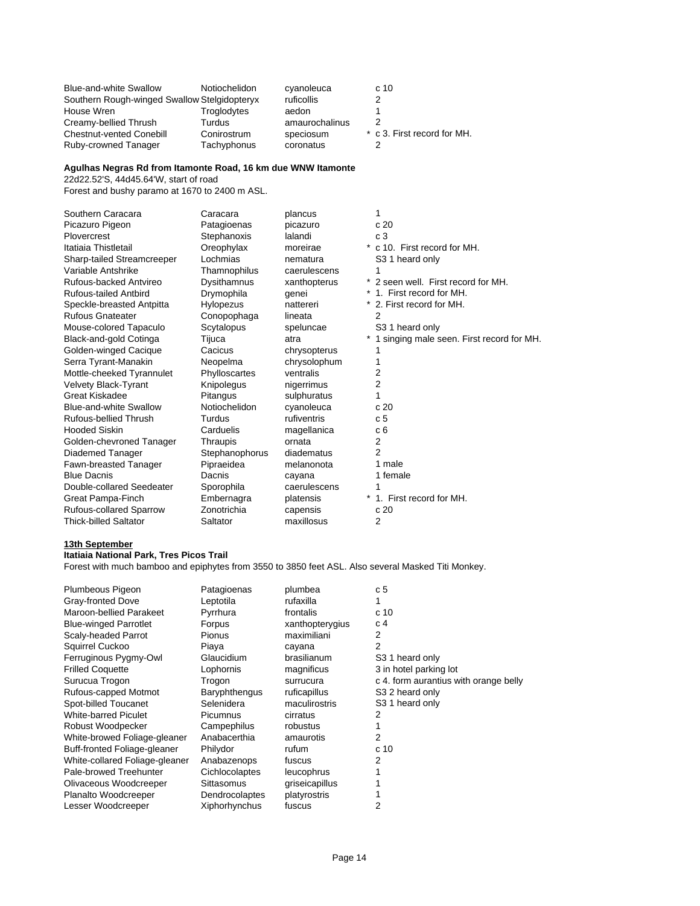| <b>Blue-and-white Swallow</b>                | Notiochelidon | cyanoleuca     | c 10                        |
|----------------------------------------------|---------------|----------------|-----------------------------|
| Southern Rough-winged Swallow Stelgidopteryx |               | ruficollis     |                             |
| House Wren                                   | Troglodytes   | aedon          |                             |
| Creamy-bellied Thrush                        | Turdus        | amaurochalinus |                             |
| <b>Chestnut-vented Conebill</b>              | Conirostrum   | speciosum      | * c 3. First record for MH. |
| Ruby-crowned Tanager                         | Tachyphonus   | coronatus      |                             |

## **Agulhas Negras Rd from Itamonte Road, 16 km due WNW Itamonte**

22d22.52'S, 44d45.64'W, start of road

Forest and bushy paramo at 1670 to 2400 m ASL.

| Southern Caracara              | Caracara       | plancus      |                                           |
|--------------------------------|----------------|--------------|-------------------------------------------|
| Picazuro Pigeon                | Patagioenas    | picazuro     | c20                                       |
| Plovercrest                    | Stephanoxis    | lalandi      | c <sub>3</sub>                            |
| Itatiaia Thistletail           | Oreophylax     | moreirae     | * c 10. First record for MH.              |
| Sharp-tailed Streamcreeper     | Lochmias       | nematura     | S3 1 heard only                           |
| Variable Antshrike             | Thamnophilus   | caerulescens |                                           |
| Rufous-backed Antvireo         | Dysithamnus    | xanthopterus | * 2 seen well. First record for MH.       |
| <b>Rufous-tailed Antbird</b>   | Drymophila     | qenei        | * 1. First record for MH.                 |
| Speckle-breasted Antpitta      | Hylopezus      | nattereri    | * 2. First record for MH.                 |
| <b>Rufous Gnateater</b>        | Conopophaga    | lineata      | 2                                         |
| Mouse-colored Tapaculo         | Scytalopus     | speluncae    | S <sub>3</sub> 1 heard only               |
| Black-and-gold Cotinga         | Tijuca         | atra         | 1 singing male seen. First record for MH. |
| Golden-winged Cacique          | Cacicus        | chrysopterus |                                           |
| Serra Tyrant-Manakin           | Neopelma       | chrysolophum |                                           |
| Mottle-cheeked Tyrannulet      | Phylloscartes  | ventralis    | 2                                         |
| <b>Velvety Black-Tyrant</b>    | Knipolegus     | nigerrimus   | 2                                         |
| Great Kiskadee                 | Pitangus       | sulphuratus  |                                           |
| Blue-and-white Swallow         | Notiochelidon  | cyanoleuca   | c 20                                      |
| Rufous-bellied Thrush          | Turdus         | rufiventris  | c <sub>5</sub>                            |
| <b>Hooded Siskin</b>           | Carduelis      | magellanica  | c 6                                       |
| Golden-chevroned Tanager       | Thraupis       | ornata       | 2                                         |
| Diademed Tanager               | Stephanophorus | diadematus   | 2                                         |
| Fawn-breasted Tanager          | Pipraeidea     | melanonota   | 1 male                                    |
| <b>Blue Dacnis</b>             | Dacnis         | cayana       | 1 female                                  |
| Double-collared Seedeater      | Sporophila     | caerulescens |                                           |
| Great Pampa-Finch              | Embernagra     | platensis    | 1. First record for MH.                   |
| <b>Rufous-collared Sparrow</b> | Zonotrichia    | capensis     | c20                                       |
| <b>Thick-billed Saltator</b>   | Saltator       | maxillosus   | 2                                         |

#### **13th September**

#### **Itatiaia National Park, Tres Picos Trail**

Forest with much bamboo and epiphytes from 3550 to 3850 feet ASL. Also several Masked Titi Monkey.

| Plumbeous Pigeon               | Patagioenas          | plumbea         | c <sub>5</sub>                        |
|--------------------------------|----------------------|-----------------|---------------------------------------|
| Gray-fronted Dove              | Leptotila            | rufaxilla       | 1                                     |
| Maroon-bellied Parakeet        | Pyrrhura             | frontalis       | c <sub>10</sub>                       |
| <b>Blue-winged Parrotlet</b>   | Forpus               | xanthopterygius | c <sub>4</sub>                        |
| Scaly-headed Parrot            | <b>Pionus</b>        | maximiliani     | 2                                     |
| Squirrel Cuckoo                | Piaya                | cayana          | 2                                     |
| Ferruginous Pygmy-Owl          | Glaucidium           | brasilianum     | S <sub>3</sub> 1 heard only           |
| <b>Frilled Coquette</b>        | Lophornis            | magnificus      | 3 in hotel parking lot                |
| Surucua Trogon                 | Trogon               | surrucura       | c 4. form aurantius with orange belly |
| Rufous-capped Motmot           | <b>Baryphthengus</b> | ruficapillus    | S <sub>3</sub> 2 heard only           |
| Spot-billed Toucanet           | Selenidera           | maculirostris   | S <sub>3</sub> 1 heard only           |
| <b>White-barred Piculet</b>    | Picumnus             | cirratus        | 2                                     |
| Robust Woodpecker              | Campephilus          | robustus        |                                       |
| White-browed Foliage-gleaner   | Anabacerthia         | amaurotis       | 2                                     |
| Buff-fronted Foliage-gleaner   | Philydor             | rufum           | c <sub>10</sub>                       |
| White-collared Foliage-gleaner | Anabazenops          | fuscus          | 2                                     |
| Pale-browed Treehunter         | Cichlocolaptes       | leucophrus      |                                       |
| Olivaceous Woodcreeper         | Sittasomus           | griseicapillus  |                                       |
| Planalto Woodcreeper           | Dendrocolaptes       | platyrostris    |                                       |
| Lesser Woodcreeper             | Xiphorhynchus        | fuscus          | 2                                     |
|                                |                      |                 |                                       |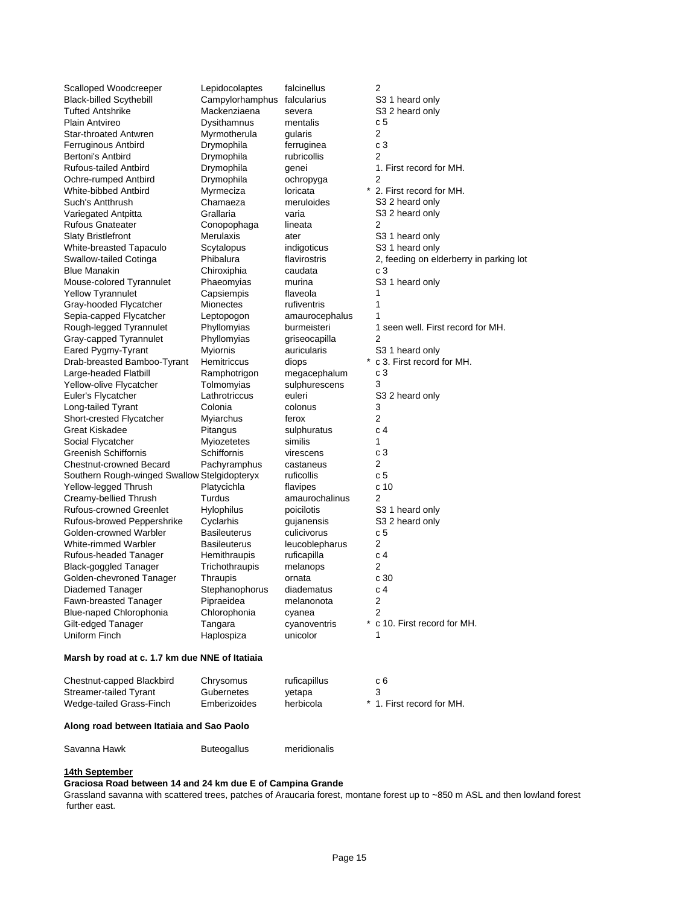| Scalloped Woodcreeper<br><b>Black-billed Scythebill</b><br>Tufted Antshrike | Lepidocolaptes<br>Campylorhamphus<br>Mackenziaena | falcinellus<br>falcularius<br>severa | 2<br>S <sub>3</sub> 1 heard only<br>S3 2 heard only |
|-----------------------------------------------------------------------------|---------------------------------------------------|--------------------------------------|-----------------------------------------------------|
| Plain Antvireo                                                              | Dysithamnus                                       | mentalis                             | c 5                                                 |
| Star-throated Antwren                                                       | Myrmotherula                                      | gularis                              | 2                                                   |
| Ferruginous Antbird                                                         | Drymophila                                        | ferruginea                           | c3                                                  |
| Bertoni's Antbird                                                           | Drymophila                                        | rubricollis                          | 2                                                   |
| Rufous-tailed Antbird                                                       | Drymophila                                        | genei                                | 1. First record for MH.                             |
| Ochre-rumped Antbird                                                        | Drymophila                                        | ochropyga                            | 2                                                   |
| White-bibbed Antbird                                                        | Myrmeciza                                         | loricata                             | * 2. First record for MH.                           |
| Such's Antthrush                                                            | Chamaeza                                          | meruloides                           | S3 2 heard only                                     |
| Variegated Antpitta                                                         | Grallaria                                         | varia                                | S3 2 heard only                                     |
| <b>Rufous Gnateater</b>                                                     | Conopophaga                                       | lineata                              | 2                                                   |
| <b>Slaty Bristlefront</b>                                                   | Merulaxis                                         | ater                                 | S3 1 heard only                                     |
| White-breasted Tapaculo                                                     | Scytalopus                                        | indigoticus                          | S <sub>3</sub> 1 heard only                         |
| Swallow-tailed Cotinga                                                      | Phibalura                                         | flavirostris                         | 2, feeding on elderberry in parking lot             |
| <b>Blue Manakin</b>                                                         | Chiroxiphia                                       | caudata                              | c <sub>3</sub>                                      |
| Mouse-colored Tyrannulet                                                    | Phaeomyias                                        | murina                               | S3 1 heard only                                     |
| <b>Yellow Tyrannulet</b>                                                    | Capsiempis                                        | flaveola                             | 1                                                   |
| Gray-hooded Flycatcher                                                      | Mionectes                                         | rufiventris                          | 1                                                   |
| Sepia-capped Flycatcher                                                     | Leptopogon                                        | amaurocephalus                       | 1                                                   |
| Rough-legged Tyrannulet                                                     | Phyllomyias                                       | burmeisteri                          | 1 seen well. First record for MH.                   |
| Gray-capped Tyrannulet                                                      | Phyllomyias                                       | griseocapilla                        | 2                                                   |
| Eared Pygmy-Tyrant                                                          | <b>Myiornis</b>                                   | auricularis                          | S <sub>3</sub> 1 heard only                         |
| Drab-breasted Bamboo-Tyrant                                                 | Hemitriccus                                       | diops                                | c 3. First record for MH.                           |
| Large-headed Flatbill                                                       | Ramphotrigon                                      | megacephalum                         | c3                                                  |
| Yellow-olive Flycatcher                                                     | Tolmomyias                                        | sulphurescens                        | 3                                                   |
| Euler's Flycatcher                                                          | Lathrotriccus                                     | euleri                               | S3 2 heard only                                     |
| Long-tailed Tyrant                                                          | Colonia                                           | colonus                              | 3                                                   |
| Short-crested Flycatcher                                                    | Myiarchus                                         | ferox                                | 2                                                   |
| Great Kiskadee                                                              | Pitangus                                          | sulphuratus                          | c 4                                                 |
| Social Flycatcher                                                           | Myiozetetes                                       | similis                              | 1                                                   |
| Greenish Schiffornis                                                        | Schiffornis                                       | virescens                            | c3                                                  |
| <b>Chestnut-crowned Becard</b>                                              | Pachyramphus                                      | castaneus                            | 2                                                   |
| Southern Rough-winged Swallow Stelgidopteryx                                |                                                   | ruficollis                           | c 5                                                 |
| Yellow-legged Thrush                                                        | Platycichla                                       | flavipes                             | c 10                                                |
| Creamy-bellied Thrush                                                       | Turdus                                            | amaurochalinus                       | 2                                                   |
| <b>Rufous-crowned Greenlet</b>                                              | Hylophilus                                        | poicilotis                           | S3 1 heard only                                     |
| Rufous-browed Peppershrike                                                  | Cyclarhis                                         | gujanensis                           | S3 2 heard only                                     |
| Golden-crowned Warbler                                                      | Basileuterus                                      | culicivorus                          | c 5                                                 |
| White-rimmed Warbler                                                        | Basileuterus                                      | leucoblepharus                       | 2                                                   |
| Rufous-headed Tanager                                                       | Hemithraupis                                      | ruficapilla                          | c <sub>4</sub>                                      |
| <b>Black-goggled Tanager</b>                                                | Trichothraupis                                    | melanops                             | 2                                                   |
| Golden-chevroned Tanager                                                    | Thraupis                                          | ornata                               | c 30                                                |
| Diademed Tanager                                                            | Stephanophorus                                    | diadematus                           | c 4                                                 |
| Fawn-breasted Tanager                                                       | Pipraeidea                                        | melanonota                           | 2                                                   |
| Blue-naped Chlorophonia                                                     | Chlorophonia                                      |                                      | 2                                                   |
| Gilt-edged Tanager                                                          |                                                   | cyanea                               | * c 10. First record for MH.                        |
|                                                                             | Tangara                                           | cyanoventris                         |                                                     |
| Uniform Finch                                                               | Haplospiza                                        | unicolor                             | 1                                                   |
| Marsh by road at c. 1.7 km due NNE of Itatiaia                              |                                                   |                                      |                                                     |
| Chestnut-capped Blackbird                                                   | Chrysomus                                         | ruficapillus                         | c 6                                                 |
| Streamer-tailed Tyrant                                                      | Gubernetes                                        | yetapa                               | 3                                                   |
| Wedge-tailed Grass-Finch                                                    | Emberizoides                                      | herbicola                            | * 1. First record for MH.                           |
| Along road between Itatiaia and Sao Paolo                                   |                                                   |                                      |                                                     |

Savanna Hawk Buteogallus meridionalis

### **14th September**

**Graciosa Road between 14 and 24 km due E of Campina Grande**

Grassland savanna with scattered trees, patches of Araucaria forest, montane forest up to ~850 m ASL and then lowland forest further east.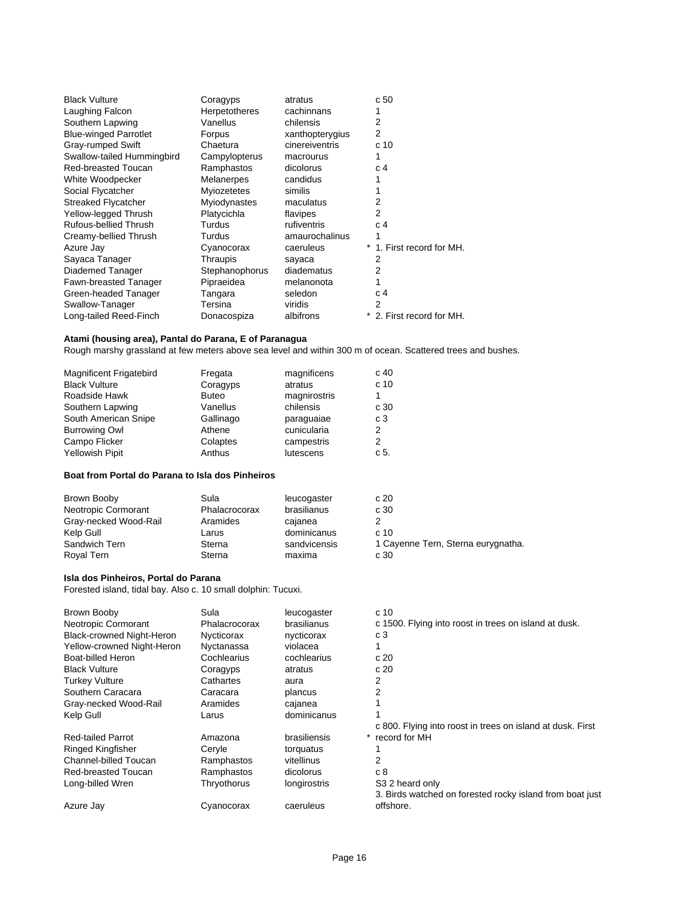| <b>Black Vulture</b>         | Coragyps       | atratus         | c <sub>50</sub>           |
|------------------------------|----------------|-----------------|---------------------------|
| Laughing Falcon              | Herpetotheres  | cachinnans      |                           |
| Southern Lapwing             | Vanellus       | chilensis       | 2                         |
| <b>Blue-winged Parrotlet</b> | Forpus         | xanthopterygius | 2                         |
| Gray-rumped Swift            | Chaetura       | cinereiventris  | c 10                      |
| Swallow-tailed Hummingbird   | Campylopterus  | macrourus       | 1                         |
| <b>Red-breasted Toucan</b>   | Ramphastos     | dicolorus       | c 4                       |
| White Woodpecker             | Melanerpes     | candidus        |                           |
| Social Flycatcher            | Myiozetetes    | similis         |                           |
| <b>Streaked Flycatcher</b>   | Myiodynastes   | maculatus       | 2                         |
| Yellow-legged Thrush         | Platycichla    | flavipes        | 2                         |
| Rufous-bellied Thrush        | Turdus         | rufiventris     | c 4                       |
| Creamy-bellied Thrush        | Turdus         | amaurochalinus  |                           |
| Azure Jay                    | Cyanocorax     | caeruleus       | * 1. First record for MH. |
| Sayaca Tanager               | Thraupis       | sayaca          | 2                         |
| Diademed Tanager             | Stephanophorus | diadematus      | 2                         |
| Fawn-breasted Tanager        | Pipraeidea     | melanonota      |                           |
| Green-headed Tanager         | Tangara        | seledon         | c 4                       |
| Swallow-Tanager              | Tersina        | viridis         | 2                         |
| Long-tailed Reed-Finch       | Donacospiza    | albifrons       | * 2. First record for MH. |

#### **Atami (housing area), Pantal do Parana, E of Paranagua**

Rough marshy grassland at few meters above sea level and within 300 m of ocean. Scattered trees and bushes.

|              |              | c <sub>40</sub> |
|--------------|--------------|-----------------|
| Coragyps     | atratus      | c <sub>10</sub> |
| <b>Buteo</b> | magnirostris |                 |
| Vanellus     | chilensis    | c 30            |
| Gallinago    | paraquaiae   | c3              |
| Athene       | cunicularia  | 2               |
| Colaptes     | campestris   | 2               |
| Anthus       | lutescens    | c 5.            |
|              | Fregata      | magnificens     |

### **Boat from Portal do Parana to Isla dos Pinheiros**

| Brown Booby           | Sula          | leucogaster  | c20                                |
|-----------------------|---------------|--------------|------------------------------------|
| Neotropic Cormorant   | Phalacrocorax | brasilianus  | c 30                               |
| Gray-necked Wood-Rail | Aramides      | caianea      |                                    |
| Kelp Gull             | Larus         | dominicanus  | c <sub>10</sub>                    |
| Sandwich Tern         | Sterna        | sandvicensis | 1 Cayenne Tern, Sterna eurygnatha. |
| Roval Tern            | Sterna        | maxima       | c 30                               |

## **Isla dos Pinheiros, Portal do Parana**

Forested island, tidal bay. Also c. 10 small dolphin: Tucuxi.

| Brown Booby                      | Sula          | leucogaster               | c 10                                                       |
|----------------------------------|---------------|---------------------------|------------------------------------------------------------|
| Neotropic Cormorant              | Phalacrocorax | brasilianus               | c 1500. Flying into roost in trees on island at dusk.      |
| <b>Black-crowned Night-Heron</b> | Nycticorax    | nycticorax                | c 3                                                        |
| Yellow-crowned Night-Heron       | Nyctanassa    | violacea                  |                                                            |
| Boat-billed Heron                | Cochlearius   | cochlearius               | c20                                                        |
| <b>Black Vulture</b>             | Coragyps      | atratus                   | c20                                                        |
| <b>Turkey Vulture</b>            | Cathartes     | aura                      | 2                                                          |
| Southern Caracara                | Caracara      | plancus                   | 2                                                          |
| Gray-necked Wood-Rail            | Aramides      | cajanea                   |                                                            |
| Kelp Gull                        | Larus         | dominicanus               |                                                            |
|                                  |               |                           | c 800. Flying into roost in trees on island at dusk. First |
| <b>Red-tailed Parrot</b>         | Amazona       | brasiliensis<br>$^{\ast}$ | record for MH                                              |
| Ringed Kingfisher                | Cervle        | torquatus                 |                                                            |
| Channel-billed Toucan            | Ramphastos    | vitellinus                | 2                                                          |
| Red-breasted Toucan              | Ramphastos    | dicolorus                 | c8                                                         |
| Long-billed Wren                 | Thryothorus   | longirostris              | S <sub>3</sub> 2 heard only                                |
|                                  |               |                           | 3. Birds watched on forested rocky island from boat just   |
| Azure Jay                        | Cyanocorax    | caeruleus                 | offshore.                                                  |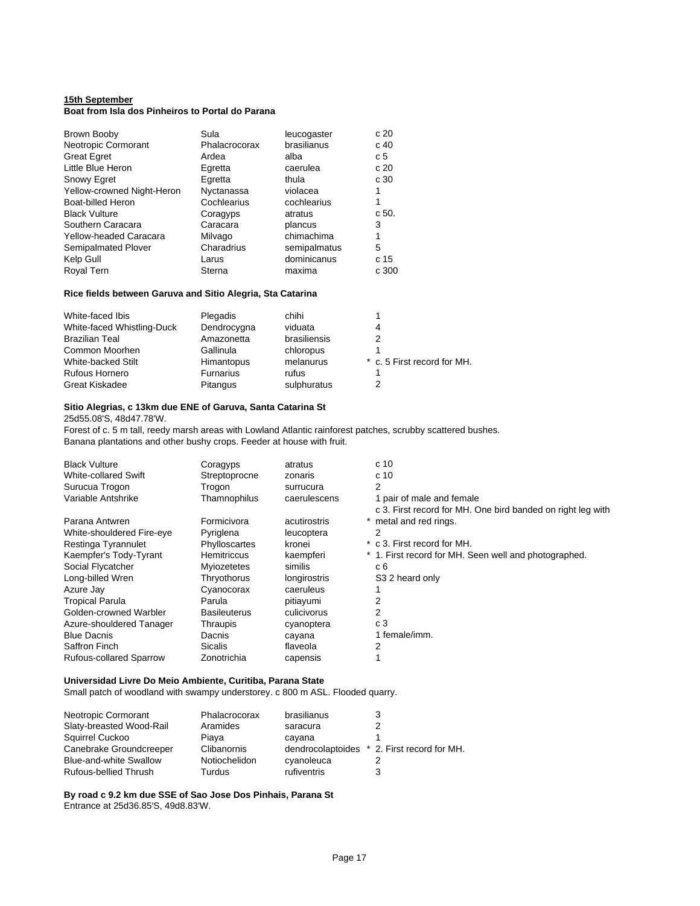### **15th September Boat from Isla dos Pinheiros to Portal do Parana**

| Brown Booby                | Sula          | leucogaster  | c 20  |
|----------------------------|---------------|--------------|-------|
| Neotropic Cormorant        | Phalacrocorax | brasilianus  | c 40  |
| <b>Great Egret</b>         | Ardea         | alba         | c 5   |
| Little Blue Heron          | Egretta       | caerulea     | c 20  |
| Snowy Egret                | Egretta       | thula        | c 30  |
| Yellow-crowned Night-Heron | Nyctanassa    | violacea     | 1     |
| Boat-billed Heron          | Cochlearius   | cochlearius  | 1     |
| <b>Black Vulture</b>       | Coragyps      | atratus      | c 50. |
| Southern Caracara          | Caracara      | plancus      | 3     |
| Yellow-headed Caracara     | Milvago       | chimachima   | 1     |
| Semipalmated Plover        | Charadrius    | semipalmatus | 5     |
| Kelp Gull                  | Larus         | dominicanus  | c 15  |
| Royal Tern                 | Sterna        | maxima       | c 300 |

### **Rice fields between Garuva and Sitio Alegria, Sta Catarina**

| White-faced Ibis           | Plegadis         | chihi        |                             |
|----------------------------|------------------|--------------|-----------------------------|
| White-faced Whistling-Duck | Dendrocygna      | viduata      |                             |
| <b>Brazilian Teal</b>      | Amazonetta       | brasiliensis |                             |
| Common Moorhen             | Gallinula        | chloropus    |                             |
| White-backed Stilt         | Himantopus       | melanurus    | * c. 5 First record for MH. |
| <b>Rufous Hornero</b>      | <b>Furnarius</b> | rufus        |                             |
| <b>Great Kiskadee</b>      | Pitangus         | sulphuratus  |                             |

### **Sitio Alegrias, c 13km due ENE of Garuva, Santa Catarina St**

25d55.08'S, 48d47.78'W.

Forest of c. 5 m tall, reedy marsh areas with Lowland Atlantic rainforest patches, scrubby scattered bushes. Banana plantations and other bushy crops. Feeder at house with fruit.

| <b>Black Vulture</b><br><b>White-collared Swift</b><br>Surucua Trogon | Coragyps<br>Streptoprocne<br>Trogon | atratus<br>zonaris<br>surrucura | c 10<br>c <sub>10</sub><br>2                                                             |
|-----------------------------------------------------------------------|-------------------------------------|---------------------------------|------------------------------------------------------------------------------------------|
| Variable Antshrike                                                    | Thamnophilus                        | caerulescens                    | 1 pair of male and female<br>c 3. First record for MH. One bird banded on right leg with |
| Parana Antwren                                                        | Formicivora                         | acutirostris                    | metal and red rings.                                                                     |
| White-shouldered Fire-eye                                             | Pyriglena                           | leucoptera                      | 2                                                                                        |
| Restinga Tyrannulet                                                   | Phylloscartes                       | kronei                          | c 3. First record for MH.                                                                |
| Kaempfer's Tody-Tyrant                                                | <b>Hemitriccus</b>                  | kaempferi                       | * 1. First record for MH. Seen well and photographed.                                    |
| Social Flycatcher                                                     | Myiozetetes                         | similis                         | c 6                                                                                      |
| Long-billed Wren                                                      | Thryothorus                         | longirostris                    | S3 2 heard only                                                                          |
| Azure Jay                                                             | Cyanocorax                          | caeruleus                       |                                                                                          |
| <b>Tropical Parula</b>                                                | Parula                              | pitiayumi                       | 2                                                                                        |
| Golden-crowned Warbler                                                | <b>Basileuterus</b>                 | culicivorus                     | 2                                                                                        |
| Azure-shouldered Tanager                                              | Thraupis                            | cyanoptera                      | c 3                                                                                      |
| <b>Blue Dacnis</b>                                                    | Dacnis                              | cayana                          | 1 female/imm.                                                                            |
| Saffron Finch                                                         | Sicalis                             | flaveola                        | 2                                                                                        |
| <b>Rufous-collared Sparrow</b>                                        | Zonotrichia                         | capensis                        |                                                                                          |

## **Universidad Livre Do Meio Ambiente, Curitiba, Parana State**

Small patch of woodland with swampy understorey. c 800 m ASL. Flooded quarry.

| Neotropic Cormorant           | Phalacrocorax | brasilianus |                                             |
|-------------------------------|---------------|-------------|---------------------------------------------|
| Slaty-breasted Wood-Rail      | Aramides      | saracura    |                                             |
| Squirrel Cuckoo               | Piava         | cayana      |                                             |
| Canebrake Groundcreeper       | Clibanornis   |             | dendrocolaptoides * 2. First record for MH. |
| <b>Blue-and-white Swallow</b> | Notiochelidon | cyanoleuca  |                                             |
| Rufous-bellied Thrush         | Turdus        | rufiventris | 3                                           |

**By road c 9.2 km due SSE of Sao Jose Dos Pinhais, Parana St** Entrance at 25d36.85'S, 49d8.83'W.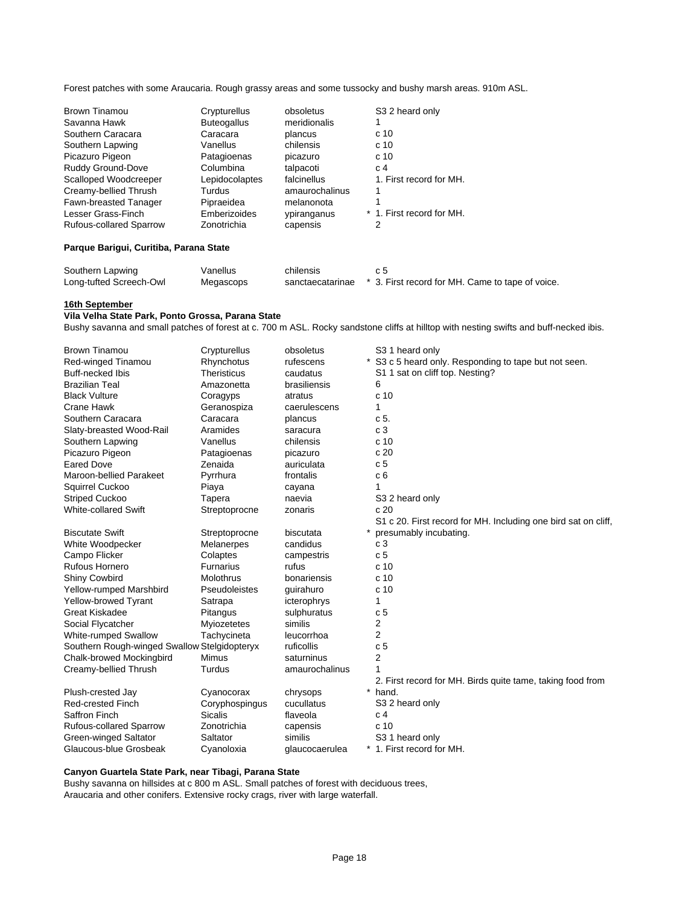Forest patches with some Araucaria. Rough grassy areas and some tussocky and bushy marsh areas. 910m ASL.

| <b>Brown Tinamou</b>           | Crypturellus       | obsoletus      | S3 2 heard only           |
|--------------------------------|--------------------|----------------|---------------------------|
| Savanna Hawk                   | <b>Buteogallus</b> | meridionalis   |                           |
| Southern Caracara              | Caracara           | plancus        | c 10                      |
| Southern Lapwing               | Vanellus           | chilensis      | c <sub>10</sub>           |
| Picazuro Pigeon                | Patagioenas        | picazuro       | c <sub>10</sub>           |
| Ruddy Ground-Dove              | Columbina          | talpacoti      | C <sub>4</sub>            |
| Scalloped Woodcreeper          | Lepidocolaptes     | falcinellus    | 1. First record for MH.   |
| Creamy-bellied Thrush          | Turdus             | amaurochalinus |                           |
| Fawn-breasted Tanager          | Pipraeidea         | melanonota     |                           |
| Lesser Grass-Finch             | Emberizoides       | ypiranganus    | * 1. First record for MH. |
| <b>Rufous-collared Sparrow</b> | Zonotrichia        | capensis       | 2                         |

### **Parque Barigui, Curitiba, Parana State**

| Southern Lapwing        | Vanellus  | chilensis |                                                                   |
|-------------------------|-----------|-----------|-------------------------------------------------------------------|
| Long-tufted Screech-Owl | Megascops |           | sanctaecatarinae * 3. First record for MH. Came to tape of voice. |

### **16th September**

# **Vila Velha State Park, Ponto Grossa, Parana State**

Bushy savanna and small patches of forest at c. 700 m ASL. Rocky sandstone cliffs at hilltop with nesting swifts and buff-necked ibis.

| <b>Brown Tinamou</b>                         | Crypturellus       | obsoletus      | S <sub>3</sub> 1 heard only                                    |
|----------------------------------------------|--------------------|----------------|----------------------------------------------------------------|
| Red-winged Tinamou                           | Rhynchotus         | rufescens      | * S3 c 5 heard only. Responding to tape but not seen.          |
| Buff-necked Ibis                             | <b>Theristicus</b> | caudatus       | S1 1 sat on cliff top. Nesting?                                |
| <b>Brazilian Teal</b>                        | Amazonetta         | brasiliensis   | 6                                                              |
| <b>Black Vulture</b>                         | Coragyps           | atratus        | c <sub>10</sub>                                                |
| Crane Hawk                                   | Geranospiza        | caerulescens   | 1                                                              |
| Southern Caracara                            | Caracara           | plancus        | c 5.                                                           |
| Slaty-breasted Wood-Rail                     | Aramides           | saracura       | c <sub>3</sub>                                                 |
| Southern Lapwing                             | Vanellus           | chilensis      | c <sub>10</sub>                                                |
| Picazuro Pigeon                              | Patagioenas        | picazuro       | c 20                                                           |
| <b>Eared Dove</b>                            | Zenaida            | auriculata     | c <sub>5</sub>                                                 |
| Maroon-bellied Parakeet                      | Pyrrhura           | frontalis      | c <sub>6</sub>                                                 |
| Squirrel Cuckoo                              | Piaya              | cayana         | 1                                                              |
| <b>Striped Cuckoo</b>                        | Tapera             | naevia         | S3 2 heard only                                                |
| <b>White-collared Swift</b>                  | Streptoprocne      | zonaris        | c20                                                            |
|                                              |                    |                | S1 c 20. First record for MH. Including one bird sat on cliff, |
| <b>Biscutate Swift</b>                       | Streptoprocne      | biscutata      | presumably incubating.                                         |
| White Woodpecker                             | Melanerpes         | candidus       | c <sub>3</sub>                                                 |
| Campo Flicker                                | Colaptes           | campestris     | c <sub>5</sub>                                                 |
| Rufous Hornero                               | Furnarius          | rufus          | c 10                                                           |
| <b>Shiny Cowbird</b>                         | Molothrus          | bonariensis    | c <sub>10</sub>                                                |
| Yellow-rumped Marshbird                      | Pseudoleistes      | guirahuro      | c <sub>10</sub>                                                |
| <b>Yellow-browed Tyrant</b>                  | Satrapa            | icterophrys    | 1                                                              |
| <b>Great Kiskadee</b>                        | Pitangus           | sulphuratus    | c <sub>5</sub>                                                 |
| Social Flycatcher                            | Myiozetetes        | similis        | 2                                                              |
| White-rumped Swallow                         | Tachycineta        | leucorrhoa     | 2                                                              |
| Southern Rough-winged Swallow Stelgidopteryx |                    | ruficollis     | c <sub>5</sub>                                                 |
| Chalk-browed Mockingbird                     | Mimus              | saturninus     | 2                                                              |
| Creamy-bellied Thrush                        | Turdus             | amaurochalinus |                                                                |
|                                              |                    |                | 2. First record for MH. Birds quite tame, taking food from     |
| Plush-crested Jay                            | Cyanocorax         | chrysops       | $\ast$<br>hand.                                                |
| <b>Red-crested Finch</b>                     | Coryphospingus     | cucullatus     | S3 2 heard only                                                |
| Saffron Finch                                | <b>Sicalis</b>     | flaveola       | c <sub>4</sub>                                                 |
| <b>Rufous-collared Sparrow</b>               | Zonotrichia        | capensis       | c 10                                                           |
| Green-winged Saltator                        | Saltator           | similis        | S3 1 heard only                                                |
| Glaucous-blue Grosbeak                       | Cvanoloxia         | glaucocaerulea | * 1. First record for MH.                                      |

### **Canyon Guartela State Park, near Tibagi, Parana State**

Bushy savanna on hillsides at c 800 m ASL. Small patches of forest with deciduous trees, Araucaria and other conifers. Extensive rocky crags, river with large waterfall.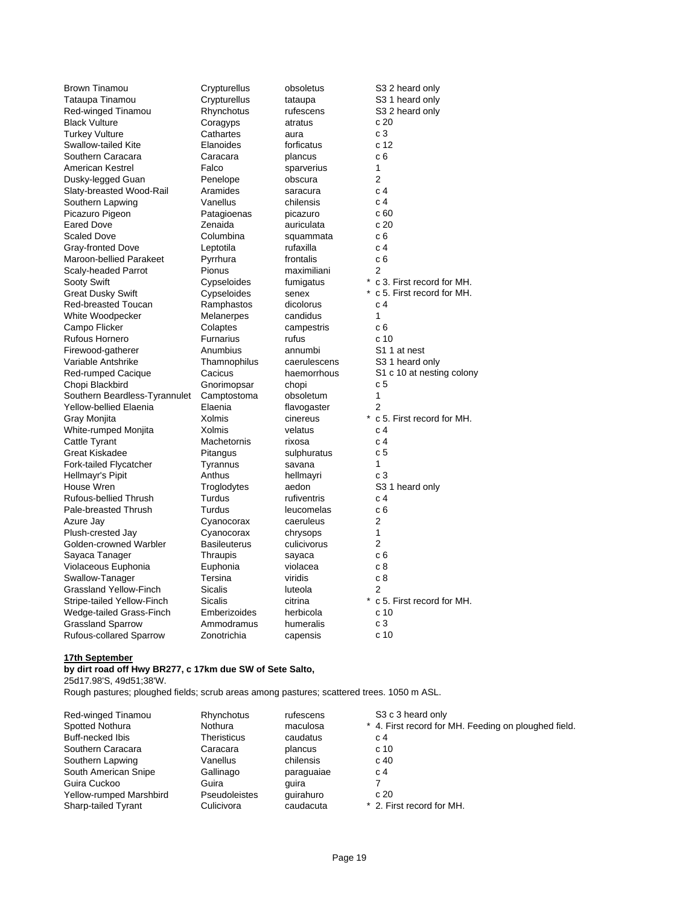Brown Tinamou Crypturellus obsoletus S3 2 heard only Tataupa Tinamou Crypturellus tataupa S3 1 heard only Red-winged Tinamou **Rhynchotus** rufescens S3 2 heard only Black Vulture Coragyps atratus c 20 Turkey Vulture **Cathartes** aura c 3 Swallow-tailed Kite **Elanoides** forficatus c 12 Southern Caracara Caracara plancus c 6 American Kestrel **Falco** Sparverius 1 Dusky-legged Guan **Penelope** obscura 2 Slaty-breasted Wood-Rail Aramides saracura c 4 Southern Lapwing Vanellus chilensis c 4 Picazuro Pigeon **Patagioenas** picazuro c 60 Eared Dove **Carry 2** Zenaida **auriculata** C 20 Scaled Dove **Columbina** squammata c 6 Gray-fronted Dove **Leptotila** rufaxilla c 4 Maroon-bellied Parakeet Pyrrhura frontalis c 6 Scaly-headed Parrot Pionus maximiliani 2<br>
Sooty Swift Conseloides fumigatus \* c Great Dusky Swift Cypseloides senex \* c 5. First record for MH. Red-breasted Toucan Ramphastos dicolorus c 4 White Woodpecker Melanerpes candidus 1<br>Campo Flicker Colaptes campestris c 6 Campo Flicker Colaptes campestris Rufous Hornero **Furnarius** rufus c 10 Firewood-gatherer Anumbius annumbi S1 1 at nest Variable Antshrike Thamnophilus caerulescens S3 1 heard only Red-rumped Cacique Cacicus haemorrhous S1 c 10 at nesting colony Chopi Blackbird Gnorimopsar chopi c 5 Southern Beardless-Tyrannulet Camptostoma obsoletum 1 Yellow-bellied Elaenia **Elaenia** Flavogaster 2 Gray Monjita  $X$ olmis cinereus \* c 5. First record for MH. White-rumped Monjita Xolmis velatus c 4<br>
Cattle Tyrant Cattle Tyrant C 4 Cattle Tyrant **Machetornis** rixosa c 4<br>
Great Kiskadee **C 5** Pitangus exploreratus c 5 Great Kiskadee **Pitangus** Sulphuratus Creat Kiskadee Fork-tailed Flycatcher Tyrannus savana 1 Hellmayr's Pipit Anthus hellmayri c 3 House Wren Troglodytes aedon S3 1 heard only Rufous-bellied Thrush Turdus rufiventris c 4 Pale-breasted Thrush Turdus leucomelas c 6 Azure Jay **Cyanocorax** caeruleus 2 Plush-crested Jay Cyanocorax chrysops 1 Golden-crowned Warbler Basileuterus culicivorus 2 Sayaca Tanager Thraupis sayaca c 6 Violaceous Euphonia **Euphonia Euphonia** violacea Swallow-Tanager Tersina viridis c 8 Grassland Yellow-Finch Sicalis Sicalis luteola 2 Stripe-tailed Yellow-Finch Sicalis citrina \* c 5. First record for MH. Wedge-tailed Grass-Finch Emberizoides herbicola c 10 Grassland Sparrow **Ammodramus** humeralis c 3 Rufous-collared Sparrow Zonotrichia capensis c 10

\* c 3. First record for MH.

#### **17th September**

# **by dirt road off Hwy BR277, c 17km due SW of Sete Salto,**

25d17.98'S, 49d51;38'W.

Rough pastures; ploughed fields; scrub areas among pastures; scattered trees. 1050 m ASL.

| Red-winged Tinamou      | Rhynchotus           | rufescens  | S <sub>3</sub> c <sub>3</sub> heard only             |
|-------------------------|----------------------|------------|------------------------------------------------------|
| Spotted Nothura         | Nothura              | maculosa   | * 4. First record for MH. Feeding on ploughed field. |
| Buff-necked Ibis        | <b>Theristicus</b>   | caudatus   | c 4                                                  |
| Southern Caracara       | Caracara             | plancus    | c 10                                                 |
| Southern Lapwing        | Vanellus             | chilensis  | c 40                                                 |
| South American Snipe    | Gallinago            | paraguaiae | C <sub>4</sub>                                       |
| Guira Cuckoo            | Guira                | quira      |                                                      |
| Yellow-rumped Marshbird | <b>Pseudoleistes</b> | quirahuro  | c20                                                  |
| Sharp-tailed Tyrant     | Culicivora           | caudacuta  | * 2. First record for MH.                            |